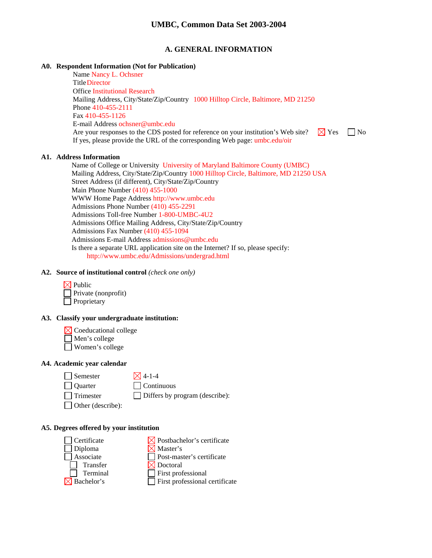### **A. GENERAL INFORMATION**

### **A0. Respondent Information (Not for Publication)**

Name Nancy L. Ochsner Title Director Office Institutional Research Mailing Address, City/State/Zip/Country 1000 Hilltop Circle, Baltimore, MD 21250 Phone 410-455-2111 Fax 410-455-1126 E-mail Address ochsner@umbc.edu Are your responses to the CDS posted for reference on your institution's Web site?  $\Box$  Yes  $\Box$  No If yes, please provide the URL of the corresponding Web page: umbc.edu/oir

#### **A1. Address Information**

Name of College or University University of Maryland Baltimore County (UMBC) Mailing Address, City/State/Zip/Country 1000 Hilltop Circle, Baltimore, MD 21250 USA Street Address (if different), City/State/Zip/Country Main Phone Number (410) 455-1000 WWW Home Page Address http://www.umbc.edu Admissions Phone Number (410) 455-2291 Admissions Toll-free Number 1-800-UMBC-4U2 Admissions Office Mailing Address, City/State/Zip/Country Admissions Fax Number (410) 455-1094 Admissions E-mail Address admissions@umbc.edu Is there a separate URL application site on the Internet? If so, please specify: http://www.umbc.edu/Admissions/undergrad.html

### **A2. Source of institutional control** *(check one only)*



### **A3. Classify your undergraduate institution:**

 $\boxtimes$  Coeducational college

- Men's college
- Women's college

### **A4. Academic year calendar**

 $\Box$  Semester  $\boxtimes$  4-1-4

Quarter Continuous

 $\Box$  Trimester  $\Box$  Differs by program (describe):

Other (describe):

#### **A5. Degrees offered by your institution**

| Certificate            | $\boxtimes$ Postbachelor's certificate |
|------------------------|----------------------------------------|
| Diploma                | $\boxtimes$ Master's                   |
| Associate              | $\Box$ Post-master's certificate       |
| Transfer               | $\boxtimes$ Doctoral                   |
| Terminal               | $\Box$ First professional              |
| $\boxtimes$ Bachelor's | $\Box$ First professional certificate  |
|                        |                                        |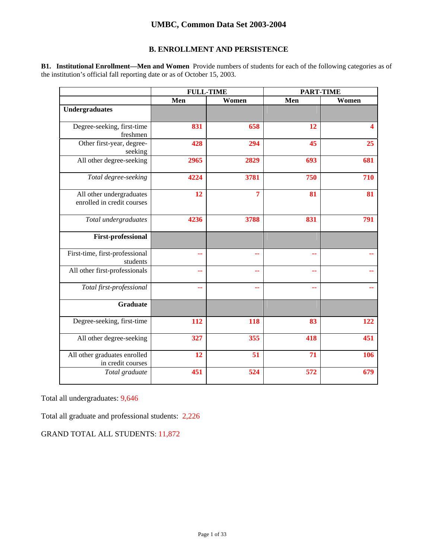## **B. ENROLLMENT AND PERSISTENCE**

**B1. Institutional Enrollment—Men and Women** Provide numbers of students for each of the following categories as of the institution's official fall reporting date or as of October 15, 2003.

|                                                        | <b>FULL-TIME</b> |       | <b>PART-TIME</b> |       |
|--------------------------------------------------------|------------------|-------|------------------|-------|
|                                                        | Men              | Women | Men              | Women |
| <b>Undergraduates</b>                                  |                  |       |                  |       |
| Degree-seeking, first-time<br>freshmen                 | 831              | 658   | 12               | 4     |
| Other first-year, degree-<br>seeking                   | 428              | 294   | 45               | 25    |
| All other degree-seeking                               | 2965             | 2829  | 693              | 681   |
| Total degree-seeking                                   | 4224             | 3781  | 750              | 710   |
| All other undergraduates<br>enrolled in credit courses | 12               | 7     | 81               | 81    |
| Total undergraduates                                   | 4236             | 3788  | 831              | 791   |
| <b>First-professional</b>                              |                  |       |                  |       |
| First-time, first-professional<br>students             | ۰.               | --    | --               |       |
| All other first-professionals                          | ۵.               | --    | ۵.               |       |
| Total first-professional                               | ٠.               | ٠.    | --               |       |
| <b>Graduate</b>                                        |                  |       |                  |       |
| Degree-seeking, first-time                             | 112              | 118   | 83               | 122   |
| All other degree-seeking                               | 327              | 355   | 418              | 451   |
| All other graduates enrolled<br>in credit courses      | 12               | 51    | 71               | 106   |
| Total graduate                                         | 451              | 524   | 572              | 679   |

Total all undergraduates: 9,646

Total all graduate and professional students: 2,226

GRAND TOTAL ALL STUDENTS: 11,872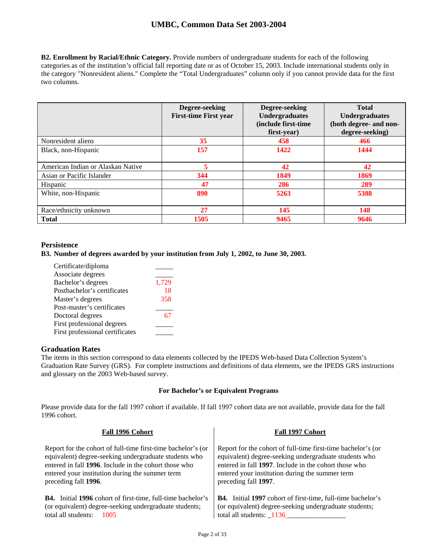**B2. Enrollment by Racial/Ethnic Category.** Provide numbers of undergraduate students for each of the following categories as of the institution's official fall reporting date or as of October 15, 2003. Include international students only in the category "Nonresident aliens." Complete the "Total Undergraduates" column only if you cannot provide data for the first two columns.

|                                   | Degree-seeking<br><b>First-time First year</b> | Degree-seeking<br>Undergraduates<br>(include first-time)<br>first-year) | <b>Total</b><br><b>Undergraduates</b><br>(both degree- and non-<br>degree-seeking) |
|-----------------------------------|------------------------------------------------|-------------------------------------------------------------------------|------------------------------------------------------------------------------------|
| Nonresident aliens                | 35                                             | 458                                                                     | 466                                                                                |
| Black, non-Hispanic               | 157                                            | 1422                                                                    | 1444                                                                               |
| American Indian or Alaskan Native | 5                                              | 42                                                                      | 42                                                                                 |
| Asian or Pacific Islander         | 344                                            | 1849                                                                    | 1869                                                                               |
| Hispanic                          | 47                                             | 286                                                                     | 289                                                                                |
| White, non-Hispanic               | 890                                            | 5263                                                                    | 5388                                                                               |
| Race/ethnicity unknown            | 27                                             | 145                                                                     | 148                                                                                |
| <b>Total</b>                      | 1505                                           | 9465                                                                    | 9646                                                                               |

## **Persistence**

**B3. Number of degrees awarded by your institution from July 1, 2002, to June 30, 2003.** 

| Certificate/diploma             |       |
|---------------------------------|-------|
| Associate degrees               |       |
| Bachelor's degrees              | 1,729 |
| Postbachelor's certificates     | 18    |
| Master's degrees                | 358   |
| Post-master's certificates      |       |
| Doctoral degrees                |       |
| First professional degrees      |       |
| First professional certificates |       |

## **Graduation Rates**

The items in this section correspond to data elements collected by the IPEDS Web-based Data Collection System's Graduation Rate Survey (GRS). For complete instructions and definitions of data elements, see the IPEDS GRS instructions and glossary on the 2003 Web-based survey.

#### **For Bachelor's or Equivalent Programs**

Please provide data for the fall 1997 cohort if available. If fall 1997 cohort data are not available, provide data for the fall 1996 cohort.

| Fall 1996 Cohort                                                                                                                                                                                                                                          | Fall 1997 Cohort                                                                                                                                                                                                                                          |
|-----------------------------------------------------------------------------------------------------------------------------------------------------------------------------------------------------------------------------------------------------------|-----------------------------------------------------------------------------------------------------------------------------------------------------------------------------------------------------------------------------------------------------------|
| Report for the cohort of full-time first-time bachelor's (or<br>equivalent) degree-seeking undergraduate students who<br>entered in fall 1996. Include in the cohort those who<br>entered your institution during the summer term<br>preceding fall 1996. | Report for the cohort of full-time first-time bachelor's (or<br>equivalent) degree-seeking undergraduate students who<br>entered in fall 1997. Include in the cohort those who<br>entered your institution during the summer term<br>preceding fall 1997. |
| <b>B4.</b> Initial 1996 cohort of first-time, full-time bachelor's<br>(or equivalent) degree-seeking undergraduate students;<br>total all students:<br>- 1005                                                                                             | <b>B4.</b> Initial 1997 cohort of first-time, full-time bachelor's<br>(or equivalent) degree-seeking undergraduate students;<br>total all students: 1136                                                                                                  |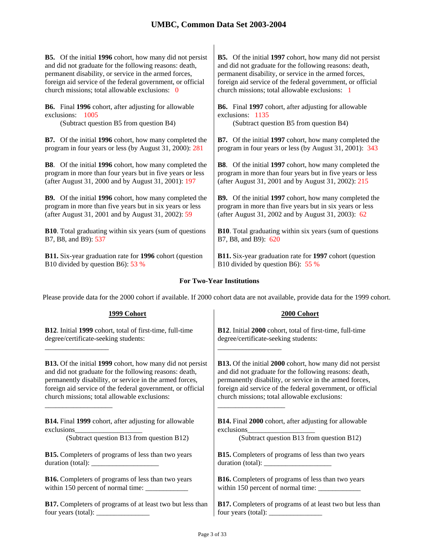**B5.** Of the initial **1996** cohort, how many did not persist and did not graduate for the following reasons: death, permanent disability, or service in the armed forces, foreign aid service of the federal government, or official church missions; total allowable exclusions: 0

**B6.** Final **1996** cohort, after adjusting for allowable exclusions: 1005

(Subtract question B5 from question B4) (Subtract question B5 from question B4)

**B7.** Of the initial **1996** cohort, how many completed the program in four years or less (by August 31, 2000): 281

**B8**. Of the initial **1996** cohort, how many completed the program in more than four years but in five years or less (after August 31, 2000 and by August 31, 2001): 197

**B9.** Of the initial **1996** cohort, how many completed the program in more than five years but in six years or less (after August 31, 2001 and by August 31, 2002): 59

**B10**. Total graduating within six years (sum of questions B7, B8, and B9): 537

**B11.** Six-year graduation rate for **1996** cohort (question B10 divided by question B6): 53 %

**B5.** Of the initial **1997** cohort, how many did not persist and did not graduate for the following reasons: death, permanent disability, or service in the armed forces, foreign aid service of the federal government, or official church missions; total allowable exclusions: 1

**B6.** Final **1997** cohort, after adjusting for allowable exclusions: 1135

**B7.** Of the initial **1997** cohort, how many completed the program in four years or less (by August 31, 2001): 343

**B8**. Of the initial **1997** cohort, how many completed the program in more than four years but in five years or less (after August 31, 2001 and by August 31, 2002): 215

**B9.** Of the initial **1997** cohort, how many completed the program in more than five years but in six years or less (after August 31, 2002 and by August 31, 2003): 62

**B10**. Total graduating within six years (sum of questions B7, B8, and B9): 620

**B11.** Six-year graduation rate for **1997** cohort (question B10 divided by question B6): 55 %

## **For Two-Year Institutions**

Please provide data for the 2000 cohort if available. If 2000 cohort data are not available, provide data for the 1999 cohort.

| 1999 Cohort                                                                                                                                                                                                                                                                                                                                                                                                       | 2000 Cohort                                                                                              |
|-------------------------------------------------------------------------------------------------------------------------------------------------------------------------------------------------------------------------------------------------------------------------------------------------------------------------------------------------------------------------------------------------------------------|----------------------------------------------------------------------------------------------------------|
| B12. Initial 1999 cohort, total of first-time, full-time                                                                                                                                                                                                                                                                                                                                                          | B12. Initial 2000 cohort, total of first-time, full-time                                                 |
| degree/certificate-seeking students:                                                                                                                                                                                                                                                                                                                                                                              | degree/certificate-seeking students:                                                                     |
| <b>B13.</b> Of the initial 1999 cohort, how many did not persist                                                                                                                                                                                                                                                                                                                                                  | <b>B13.</b> Of the initial 2000 cohort, how many did not persist                                         |
| and did not graduate for the following reasons: death,                                                                                                                                                                                                                                                                                                                                                            | and did not graduate for the following reasons: death,                                                   |
| permanently disability, or service in the armed forces,                                                                                                                                                                                                                                                                                                                                                           | permanently disability, or service in the armed forces,                                                  |
| foreign aid service of the federal government, or official                                                                                                                                                                                                                                                                                                                                                        | foreign aid service of the federal government, or official                                               |
| church missions; total allowable exclusions:                                                                                                                                                                                                                                                                                                                                                                      | church missions; total allowable exclusions:                                                             |
| <b>B14.</b> Final 1999 cohort, after adjusting for allowable                                                                                                                                                                                                                                                                                                                                                      | <b>B14.</b> Final 2000 cohort, after adjusting for allowable                                             |
| exclusions                                                                                                                                                                                                                                                                                                                                                                                                        | exclusions                                                                                               |
| (Subtract question B13 from question B12)                                                                                                                                                                                                                                                                                                                                                                         | (Subtract question B13 from question B12)                                                                |
| <b>B15.</b> Completers of programs of less than two years                                                                                                                                                                                                                                                                                                                                                         | <b>B15.</b> Completers of programs of less than two years                                                |
|                                                                                                                                                                                                                                                                                                                                                                                                                   |                                                                                                          |
| <b>B16.</b> Completers of programs of less than two years                                                                                                                                                                                                                                                                                                                                                         | <b>B16.</b> Completers of programs of less than two years                                                |
|                                                                                                                                                                                                                                                                                                                                                                                                                   |                                                                                                          |
| <b>B17.</b> Completers of programs of at least two but less than                                                                                                                                                                                                                                                                                                                                                  | <b>B17.</b> Completers of programs of at least two but less than                                         |
| four years (total): $\frac{1}{\sqrt{1-\frac{1}{\sqrt{1-\frac{1}{\sqrt{1-\frac{1}{\sqrt{1-\frac{1}{\sqrt{1-\frac{1}{\sqrt{1-\frac{1}{\sqrt{1-\frac{1}{\sqrt{1-\frac{1}{\sqrt{1-\frac{1}{\sqrt{1-\frac{1}{\sqrt{1-\frac{1}{\sqrt{1-\frac{1}{\sqrt{1-\frac{1}{\sqrt{1-\frac{1}{\sqrt{1-\frac{1}{\sqrt{1-\frac{1}{\sqrt{1-\frac{1}{\sqrt{1-\frac{1}{\sqrt{1-\frac{1}{\sqrt{1-\frac{1}{\sqrt{1-\frac{1}{\sqrt{1-\frac$ | four years (total): $\frac{1}{\sqrt{1-\frac{1}{2}}}\left\vert \frac{1}{\sqrt{1-\frac{1}{2}}}\right\vert$ |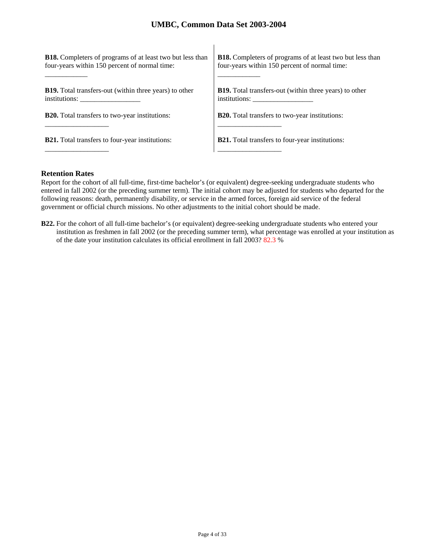| <b>B18.</b> Completers of programs of at least two but less than | <b>B18.</b> Completers of programs of at least two but less than |
|------------------------------------------------------------------|------------------------------------------------------------------|
| four-years within 150 percent of normal time:                    | four-years within 150 percent of normal time:                    |
| <b>B19.</b> Total transfers-out (within three years) to other    | <b>B19.</b> Total transfers-out (within three years) to other    |
| institutions:                                                    | institutions:                                                    |
| <b>B20.</b> Total transfers to two-year institutions:            | <b>B20.</b> Total transfers to two-year institutions:            |
| <b>B21.</b> Total transfers to four-year institutions:           | <b>B21.</b> Total transfers to four-year institutions:           |

### **Retention Rates**

Report for the cohort of all full-time, first-time bachelor's (or equivalent) degree-seeking undergraduate students who entered in fall 2002 (or the preceding summer term). The initial cohort may be adjusted for students who departed for the following reasons: death, permanently disability, or service in the armed forces, foreign aid service of the federal government or official church missions. No other adjustments to the initial cohort should be made.

**B22.** For the cohort of all full-time bachelor's (or equivalent) degree-seeking undergraduate students who entered your institution as freshmen in fall 2002 (or the preceding summer term), what percentage was enrolled at your institution as of the date your institution calculates its official enrollment in fall 2003? 82.3 %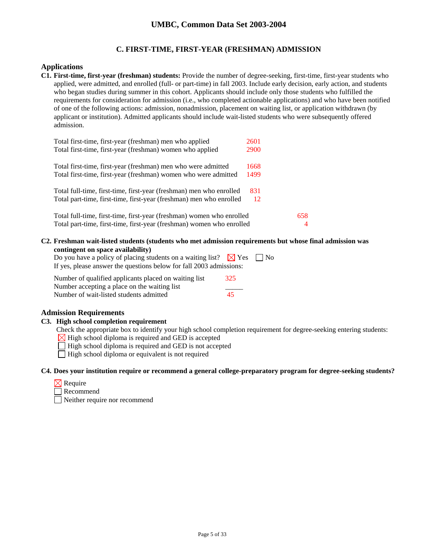## **C. FIRST-TIME, FIRST-YEAR (FRESHMAN) ADMISSION**

### **Applications**

**C1. First-time, first-year (freshman) students:** Provide the number of degree-seeking, first-time, first-year students who applied, were admitted, and enrolled (full- or part-time) in fall 2003. Include early decision, early action, and students who began studies during summer in this cohort. Applicants should include only those students who fulfilled the requirements for consideration for admission (i.e., who completed actionable applications) and who have been notified of one of the following actions: admission, nonadmission, placement on waiting list, or application withdrawn (by applicant or institution). Admitted applicants should include wait-listed students who were subsequently offered admission.

| Total first-time, first-year (freshman) men who applied               | 2601        |     |
|-----------------------------------------------------------------------|-------------|-----|
| Total first-time, first-year (freshman) women who applied             | <b>2900</b> |     |
| Total first-time, first-year (freshman) men who were admitted         | 1668        |     |
| Total first-time, first-year (freshman) women who were admitted       | 1499        |     |
| Total full-time, first-time, first-year (freshman) men who enrolled   | 831         |     |
| Total part-time, first-time, first-year (freshman) men who enrolled   | 12          |     |
| Total full-time, first-time, first-year (freshman) women who enrolled |             | 658 |
| Total part-time, first-time, first-year (freshman) women who enrolled |             | 4   |

**C2. Freshman wait-listed students (students who met admission requirements but whose final admission was contingent on space availability)**

| Do you have a policy of placing students on a waiting list? $\boxtimes$ Yes $\Box$ No |  |
|---------------------------------------------------------------------------------------|--|
| If yes, please answer the questions below for fall 2003 admissions:                   |  |
|                                                                                       |  |

| Number of qualified applicants placed on waiting list | 325 |  |
|-------------------------------------------------------|-----|--|
| Number accepting a place on the waiting list          |     |  |
| Number of wait-listed students admitted               | 45  |  |

## **Admission Requirements**

#### **C3. High school completion requirement**

Check the appropriate box to identify your high school completion requirement for degree-seeking entering students:

 $\boxtimes$  High school diploma is required and GED is accepted

 $\Box$  High school diploma is required and GED is not accepted

 $\Box$  High school diploma or equivalent is not required

### **C4. Does your institution require or recommend a general college-preparatory program for degree-seeking students?**

|  | кеашт |
|--|-------|
|--|-------|

Recommend

Neither require nor recommend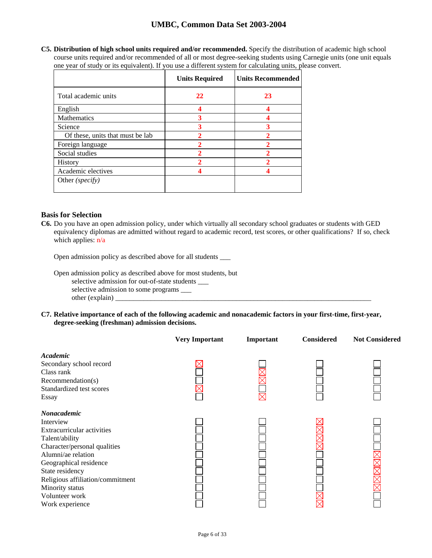**C5. Distribution of high school units required and/or recommended.** Specify the distribution of academic high school course units required and/or recommended of all or most degree-seeking students using Carnegie units (one unit equals one year of study or its equivalent). If you use a different system for calculating units, please convert.

|                                  | <b>Units Required</b> | <b>Units Recommended</b> |
|----------------------------------|-----------------------|--------------------------|
| Total academic units             | 22                    | 23                       |
| English                          |                       |                          |
| Mathematics                      | 3                     |                          |
| Science                          | 3                     | 3                        |
| Of these, units that must be lab |                       |                          |
| Foreign language                 | 2                     | າ                        |
| Social studies                   | 2                     | $\overline{2}$           |
| History                          |                       |                          |
| Academic electives               |                       |                          |
| Other (specify)                  |                       |                          |

## **Basis for Selection**

**C6.** Do you have an open admission policy, under which virtually all secondary school graduates or students with GED equivalency diplomas are admitted without regard to academic record, test scores, or other qualifications? If so, check which applies: n/a

Open admission policy as described above for all students \_\_\_

Open admission policy as described above for most students, but selective admission for out-of-state students \_\_\_ selective admission to some programs \_\_\_  $other (explain)$ 

**C7. Relative importance of each of the following academic and nonacademic factors in your first-time, first-year, degree-seeking (freshman) admission decisions.** 

|                                     | <b>Very Important</b> | Important | <b>Considered</b> | <b>Not Considered</b> |
|-------------------------------------|-----------------------|-----------|-------------------|-----------------------|
| Academic<br>Secondary school record |                       |           |                   |                       |
| Class rank                          |                       |           |                   |                       |
| Recommendation(s)                   |                       |           |                   |                       |
| Standardized test scores            |                       |           |                   |                       |
| Essay                               |                       |           |                   |                       |
| Nonacademic                         |                       |           |                   |                       |
| Interview                           |                       |           |                   |                       |
| Extracurricular activities          |                       |           |                   |                       |
| Talent/ability                      |                       |           |                   |                       |
| Character/personal qualities        |                       |           |                   |                       |
| Alumni/ae relation                  |                       |           |                   |                       |
| Geographical residence              |                       |           |                   |                       |
| State residency                     |                       |           |                   |                       |
| Religious affiliation/commitment    |                       |           |                   |                       |
| Minority status                     |                       |           |                   |                       |
| Volunteer work                      |                       |           |                   |                       |
| Work experience                     |                       |           |                   |                       |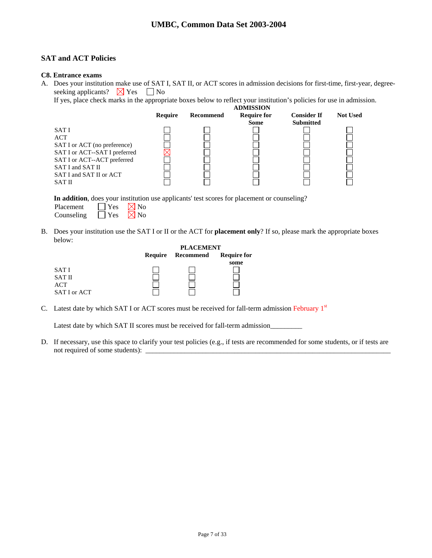## **SAT and ACT Policies**

### **C8. Entrance exams**

A. Does your institution make use of SAT I, SAT II, or ACT scores in admission decisions for first-time, first-year, degreeseeking applicants?  $\boxtimes$  Yes  $\Box$  No

If yes, place check marks in the appropriate boxes below to reflect your institution's policies for use in admission.

|                               |         |           | <b>ADMISSION</b>   |                    |                 |
|-------------------------------|---------|-----------|--------------------|--------------------|-----------------|
|                               | Require | Recommend | <b>Require for</b> | <b>Consider If</b> | <b>Not Used</b> |
|                               |         |           | <b>Some</b>        | <b>Submitted</b>   |                 |
| SAT I                         |         |           |                    |                    |                 |
| ACT                           |         |           |                    |                    |                 |
| SAT I or ACT (no preference)  |         |           |                    |                    |                 |
| SAT I or ACT--SAT I preferred |         |           |                    |                    |                 |
| SAT I or ACT--ACT preferred   |         |           |                    |                    |                 |
| SAT I and SAT II              |         |           |                    |                    |                 |
| SAT I and SAT II or ACT       |         |           |                    |                    |                 |
| <b>SAT II</b>                 |         |           |                    |                    |                 |
|                               |         |           |                    |                    |                 |

**In addition**, does your institution use applicants' test scores for placement or counseling?

| Placement  | $\mathbf{Yes}$ | $\boxtimes$ No |
|------------|----------------|----------------|
| Counseling | $\Box$ Yes     | $\boxtimes$ No |

B. Does your institution use the SAT I or II or the ACT for **placement only**? If so, please mark the appropriate boxes below:

|              |         | <b>PLACEMENT</b> |                    |  |
|--------------|---------|------------------|--------------------|--|
|              | Require | Recommend        | <b>Require for</b> |  |
|              |         |                  | some               |  |
| <b>SATI</b>  |         |                  |                    |  |
| SAT II       |         |                  |                    |  |
| ACT          |         |                  |                    |  |
| SAT I or ACT |         |                  |                    |  |

C. Latest date by which SAT I or ACT scores must be received for fall-term admission February 1<sup>st</sup>

Latest date by which SAT II scores must be received for fall-term admission\_\_\_\_\_\_

D. If necessary, use this space to clarify your test policies (e.g., if tests are recommended for some students, or if tests are not required of some students): \_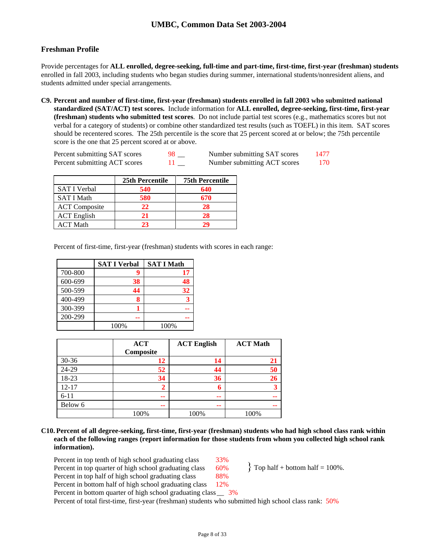## **Freshman Profile**

Provide percentages for **ALL enrolled, degree-seeking, full-time and part-time, first-time, first-year (freshman) students**  enrolled in fall 2003, including students who began studies during summer, international students/nonresident aliens, and students admitted under special arrangements.

**C9. Percent and number of first-time, first-year (freshman) students enrolled in fall 2003 who submitted national standardized (SAT/ACT) test scores.** Include information for **ALL enrolled, degree-seeking, first-time, first-year (freshman) students who submitted test scores**. Do not include partial test scores (e.g., mathematics scores but not verbal for a category of students) or combine other standardized test results (such as TOEFL) in this item. SAT scores should be recentered scores. The 25th percentile is the score that 25 percent scored at or below; the 75th percentile score is the one that 25 percent scored at or above.

| Percent submitting SAT scores | Number submitting SAT scores | 1477 |
|-------------------------------|------------------------------|------|
| Percent submitting ACT scores | Number submitting ACT scores | 170- |

|                      | 25th Percentile | <b>75th Percentile</b> |
|----------------------|-----------------|------------------------|
| <b>SAT I Verbal</b>  | 540             | 640                    |
| <b>SAT I Math</b>    | 580             | 670                    |
| <b>ACT</b> Composite | 22              | 28                     |
| <b>ACT</b> English   | 21              | 28                     |
| ACT Math             | 23              | 70                     |

Percent of first-time, first-year (freshman) students with scores in each range:

|         | <b>SAT I Verbal</b> | <b>SAT I Math</b> |
|---------|---------------------|-------------------|
| 700-800 | 9                   | 17                |
| 600-699 | 38                  | 48                |
| 500-599 | 44                  | 32                |
| 400-499 | 8                   |                   |
| 300-399 |                     |                   |
| 200-299 |                     |                   |
|         | 100%                | 100%              |

|           | <b>ACT</b><br>Composite | <b>ACT English</b> | <b>ACT Math</b> |
|-----------|-------------------------|--------------------|-----------------|
| $30 - 36$ | 12                      | 14                 | 21              |
| 24-29     | 52                      | 44                 | 50              |
| 18-23     | 34                      | 36                 | 26              |
| $12 - 17$ | 2                       | 6                  |                 |
| $6 - 11$  | --                      | --                 | --              |
| Below 6   | --                      | --                 | --              |
|           | 100%                    | 100%               | 100%            |

**C10. Percent of all degree-seeking, first-time, first-year (freshman) students who had high school class rank within each of the following ranges (report information for those students from whom you collected high school rank information).** 

Percent in top tenth of high school graduating class 33% Percent in top quarter of high school graduating class  $60\%$  ? Top half + bottom half = 100%. Percent in top half of high school graduating class 88% Percent in bottom half of high school graduating class 12%

Percent in bottom quarter of high school graduating class  $3\%$ 

Percent of total first-time, first-year (freshman) students who submitted high school class rank: 50%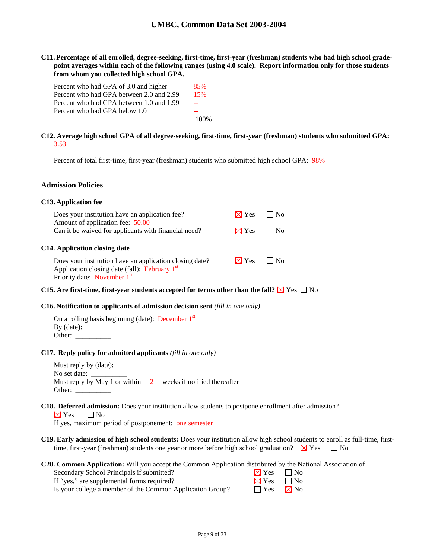**C11. Percentage of all enrolled, degree-seeking, first-time, first-year (freshman) students who had high school gradepoint averages within each of the following ranges (using 4.0 scale). Report information only for those students from whom you collected high school GPA.** 

| Percent who had GPA of 3.0 and higher    | 85%  |
|------------------------------------------|------|
| Percent who had GPA between 2.0 and 2.99 | 15%  |
| Percent who had GPA between 1.0 and 1.99 |      |
| Percent who had GPA below 1.0            |      |
|                                          | 100% |

## **C12. Average high school GPA of all degree-seeking, first-time, first-year (freshman) students who submitted GPA:** 3.53

Percent of total first-time, first-year (freshman) students who submitted high school GPA: 98%

#### **Admission Policies**

#### **C13. Application fee**

| Does your institution have an application fee?<br>Amount of application fee: 50.00       | $\boxtimes$ Yes $\Box$    | l No |  |
|------------------------------------------------------------------------------------------|---------------------------|------|--|
| Can it be waived for applicants with financial need?                                     | $\boxtimes$ Yes $\Box$ No |      |  |
| C14. Application closing date<br>Does your institution have an application closing date? | $\boxtimes$ Yes $\Box$    | l No |  |
| Application closing date (fall): February 1st<br>Priority date: November 1st             |                           |      |  |

## **C15.** Are first-time, first-year students accepted for terms other than the fall?  $\boxtimes$  Yes  $\Box$  No

#### **C16. Notification to applicants of admission decision sent** *(fill in one only)*

| On a rolling basis beginning (date): December $1st$ |  |
|-----------------------------------------------------|--|
| By (date): $\_\_$                                   |  |
| Other:                                              |  |

#### **C17. Reply policy for admitted applicants** *(fill in one only)*

Must reply by  $(data)$ : No set date: Must reply by May 1 or within 2 weeks if notified thereafter Other:

#### **C18. Deferred admission:** Does your institution allow students to postpone enrollment after admission?

 $\nabla Y$ es  $\nabla N$ o

If yes, maximum period of postponement: one semester

**C19. Early admission of high school students:** Does your institution allow high school students to enroll as full-time, firsttime, first-year (freshman) students one year or more before high school graduation?  $\boxtimes$  Yes  $\Box$  No

**C20. Common Application:** Will you accept the Common Application distributed by the National Association of

| Secondary School Principals if submitted?                 | $\boxtimes$ Yes $\Box$ No |  |
|-----------------------------------------------------------|---------------------------|--|
| If "yes," are supplemental forms required?                | $\boxtimes$ Yes $\Box$ No |  |
| Is your college a member of the Common Application Group? | $\Box$ Yes $\Box$ No      |  |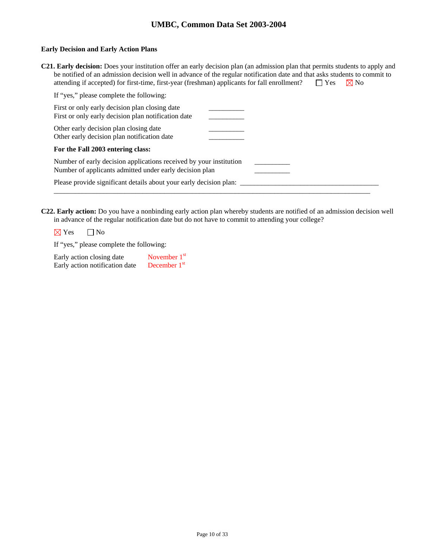### **Early Decision and Early Action Plans**

| C21. Early decision: Does your institution offer an early decision plan (an admission plan that permits students to apply and |                      |  |
|-------------------------------------------------------------------------------------------------------------------------------|----------------------|--|
| be notified of an admission decision well in advance of the regular notification date and that asks students to commit to     |                      |  |
| attending if accepted) for first-time, first-year (freshman) applicants for fall enrollment?                                  | $\Box$ Yes $\Box$ No |  |

| If "yes," please complete the following:                                                                                      |  |
|-------------------------------------------------------------------------------------------------------------------------------|--|
| First or only early decision plan closing date<br>First or only early decision plan notification date                         |  |
| Other early decision plan closing date<br>Other early decision plan notification date                                         |  |
| For the Fall 2003 entering class:                                                                                             |  |
| Number of early decision applications received by your institution<br>Number of applicants admitted under early decision plan |  |
| Please provide significant details about your early decision plan:                                                            |  |

**C22. Early action:** Do you have a nonbinding early action plan whereby students are notified of an admission decision well in advance of the regular notification date but do not have to commit to attending your college?

 $\boxtimes$  Yes  $\Box$  No

If "yes," please complete the following:

| Early action closing date      | November $1st$ |
|--------------------------------|----------------|
| Early action notification date | December $1st$ |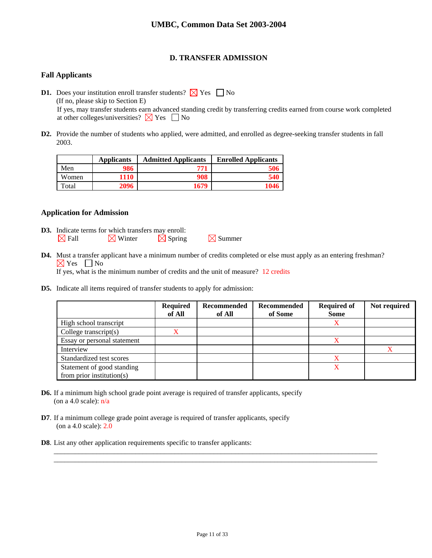## **D. TRANSFER ADMISSION**

## **Fall Applicants**

**D1.** Does your institution enroll transfer students?  $\times$  Yes  $\Box$  No (If no, please skip to Section E) If yes, may transfer students earn advanced standing credit by transferring credits earned from course work completed at other colleges/universities?  $\times$  Yes  $\Box$  No

**D2.** Provide the number of students who applied, were admitted, and enrolled as degree-seeking transfer students in fall 2003.

|       | <b>Applicants</b> | <b>Admitted Applicants</b> | <b>Enrolled Applicants</b> |
|-------|-------------------|----------------------------|----------------------------|
| Men   | 986               | 771                        | 506                        |
| Women | 1110              | 908                        | 540                        |
| Total | 2096              | 1679                       | 1046                       |

## **Application for Admission**

- **D3.** Indicate terms for which transfers may enroll:  $\boxtimes$  Fall  $\boxtimes$  Winter  $\boxtimes$  Spring  $\boxtimes$  Summer
- **D4.** Must a transfer applicant have a minimum number of credits completed or else must apply as an entering freshman?  $\boxtimes$  Yes  $\Box$  No If yes, what is the minimum number of credits and the unit of measure? 12 credits
- **D5.** Indicate all items required of transfer students to apply for admission:

|                               | <b>Required</b><br>of All | Recommended<br>of All | Recommended<br>of Some | <b>Required of</b><br><b>Some</b> | Not required |
|-------------------------------|---------------------------|-----------------------|------------------------|-----------------------------------|--------------|
| High school transcript        |                           |                       |                        | X                                 |              |
| College transcript $(s)$      |                           |                       |                        |                                   |              |
| Essay or personal statement   |                           |                       |                        |                                   |              |
| Interview                     |                           |                       |                        |                                   |              |
| Standardized test scores      |                           |                       |                        |                                   |              |
| Statement of good standing    |                           |                       |                        | X                                 |              |
| from prior institution( $s$ ) |                           |                       |                        |                                   |              |

- **D6.** If a minimum high school grade point average is required of transfer applicants, specify (on a 4.0 scale):  $n/a$
- **D7**. If a minimum college grade point average is required of transfer applicants, specify (on a 4.0 scale): 2.0
- **D8**. List any other application requirements specific to transfer applicants:

\_\_\_\_\_\_\_\_\_\_\_\_\_\_\_\_\_\_\_\_\_\_\_\_\_\_\_\_\_\_\_\_\_\_\_\_\_\_\_\_\_\_\_\_\_\_\_\_\_\_\_\_\_\_\_\_\_\_\_\_\_\_\_\_\_\_\_\_\_\_\_\_\_\_\_\_\_\_\_\_\_\_\_\_\_\_\_\_\_\_\_ \_\_\_\_\_\_\_\_\_\_\_\_\_\_\_\_\_\_\_\_\_\_\_\_\_\_\_\_\_\_\_\_\_\_\_\_\_\_\_\_\_\_\_\_\_\_\_\_\_\_\_\_\_\_\_\_\_\_\_\_\_\_\_\_\_\_\_\_\_\_\_\_\_\_\_\_\_\_\_\_\_\_\_\_\_\_\_\_\_\_\_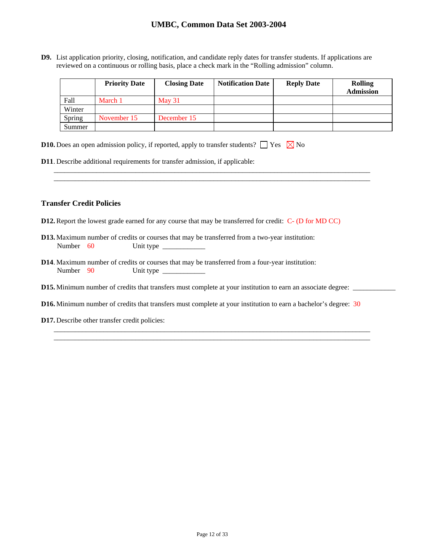**D9.** List application priority, closing, notification, and candidate reply dates for transfer students. If applications are reviewed on a continuous or rolling basis, place a check mark in the "Rolling admission" column.

|        | <b>Priority Date</b> | <b>Closing Date</b> | <b>Notification Date</b> | <b>Reply Date</b> | <b>Rolling</b><br><b>Admission</b> |
|--------|----------------------|---------------------|--------------------------|-------------------|------------------------------------|
| Fall   | March 1              | May $31$            |                          |                   |                                    |
| Winter |                      |                     |                          |                   |                                    |
| Spring | November 15          | December 15         |                          |                   |                                    |
| Summer |                      |                     |                          |                   |                                    |

\_\_\_\_\_\_\_\_\_\_\_\_\_\_\_\_\_\_\_\_\_\_\_\_\_\_\_\_\_\_\_\_\_\_\_\_\_\_\_\_\_\_\_\_\_\_\_\_\_\_\_\_\_\_\_\_\_\_\_\_\_\_\_\_\_\_\_\_\_\_\_\_\_\_\_\_\_\_\_\_\_\_\_\_\_\_\_\_\_ \_\_\_\_\_\_\_\_\_\_\_\_\_\_\_\_\_\_\_\_\_\_\_\_\_\_\_\_\_\_\_\_\_\_\_\_\_\_\_\_\_\_\_\_\_\_\_\_\_\_\_\_\_\_\_\_\_\_\_\_\_\_\_\_\_\_\_\_\_\_\_\_\_\_\_\_\_\_\_\_\_\_\_\_\_\_\_\_\_

|  |  |  |  | <b>D10.</b> Does an open admission policy, if reported, apply to transfer students? $\Box$ Yes $\boxtimes$ No |  |  |  |
|--|--|--|--|---------------------------------------------------------------------------------------------------------------|--|--|--|
|--|--|--|--|---------------------------------------------------------------------------------------------------------------|--|--|--|

**D11**. Describe additional requirements for transfer admission, if applicable:

### **Transfer Credit Policies**

- **D12.** Report the lowest grade earned for any course that may be transferred for credit: C- (D for MD CC)
- **D13.** Maximum number of credits or courses that may be transferred from a two-year institution: Number 60 Unit type \_\_\_\_\_\_\_\_\_\_\_\_
- **D14**. Maximum number of credits or courses that may be transferred from a four-year institution: Number 90 Unit type
- **D15.** Minimum number of credits that transfers must complete at your institution to earn an associate degree: \_\_\_\_\_\_\_\_\_\_\_\_
- **D16.** Minimum number of credits that transfers must complete at your institution to earn a bachelor's degree: 30

\_\_\_\_\_\_\_\_\_\_\_\_\_\_\_\_\_\_\_\_\_\_\_\_\_\_\_\_\_\_\_\_\_\_\_\_\_\_\_\_\_\_\_\_\_\_\_\_\_\_\_\_\_\_\_\_\_\_\_\_\_\_\_\_\_\_\_\_\_\_\_\_\_\_\_\_\_\_\_\_\_\_\_\_\_\_\_\_\_ \_\_\_\_\_\_\_\_\_\_\_\_\_\_\_\_\_\_\_\_\_\_\_\_\_\_\_\_\_\_\_\_\_\_\_\_\_\_\_\_\_\_\_\_\_\_\_\_\_\_\_\_\_\_\_\_\_\_\_\_\_\_\_\_\_\_\_\_\_\_\_\_\_\_\_\_\_\_\_\_\_\_\_\_\_\_\_\_\_

**D17.** Describe other transfer credit policies: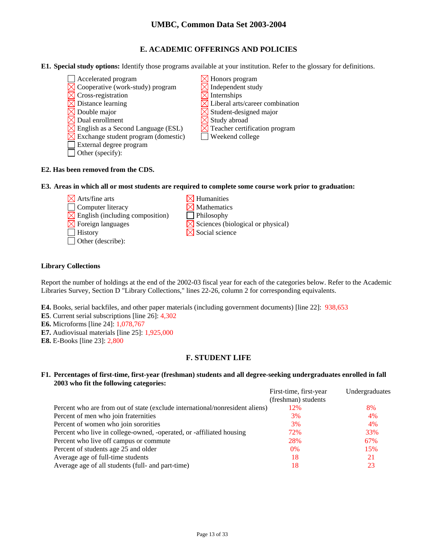## **E. ACADEMIC OFFERINGS AND POLICIES**

- **E1. Special study options:** Identify those programs available at your institution. Refer to the glossary for definitions.
	- $\Box$  Accelerated program  $\boxtimes$  Honors program
	- $\boxtimes$  Cooperative (work-study) program  $\boxtimes$  Independent study
	- $\Box$  Cross-registration  $\Box$  Internships
	-
	- Double major  $\boxtimes$  Student-designed major
	- Dual enrollment  $\boxtimes$  Study abroad
	- English as a Second Language (ESL)  $\boxtimes$  Teacher certification program
	- $\times$  Exchange student program (domestic)  $\Box$  Weekend college
	- External degree program
	- $\Box$  Other (specify):
- 
- 
- Distance learning  $\Box$  Liberal arts/career combination
	-
	-
	-
	-
- **E2. Has been removed from the CDS.**
- **E3. Areas in which all or most students are required to complete some course work prior to graduation:** 
	- $\boxtimes$  Arts/fine arts  $\boxtimes$  Humanities
	- $\Box$  Computer literacy  $\boxtimes$  Mathematics
	- $\boxtimes$  English (including composition)  $\Box$  Philosophy
	-
	-
	- Other (describe):
- 
- 
- 
- $\boxtimes$  Foreign languages  $\boxtimes$  Sciences (biological or physical)
- $\Box$  History  $\Box$  Social science

## **Library Collections**

Report the number of holdings at the end of the 2002-03 fiscal year for each of the categories below. Refer to the Academic Libraries Survey, Section D "Library Collections," lines 22-26, column 2 for corresponding equivalents.

**E4.** Books, serial backfiles, and other paper materials (including government documents) [line 22]: 938,653

- **E5**. Current serial subscriptions [line 26]: 4,302
- **E6.** Microforms [line 24]: 1,078,767
- **E7.** Audiovisual materials [line 25]: 1,925,000
- **E8.** E-Books [line 23]: 2,800

## **F. STUDENT LIFE**

### **F1. Percentages of first-time, first-year (freshman) students and all degree-seeking undergraduates enrolled in fall 2003 who fit the following categories:**

|                                                                              | First-time, first-year | Undergraduates |
|------------------------------------------------------------------------------|------------------------|----------------|
|                                                                              | (freshman) students    |                |
| Percent who are from out of state (exclude international/nonresident aliens) | 12%                    | 8%             |
| Percent of men who join fraternities                                         | 3%                     | 4%             |
| Percent of women who join sororities                                         | 3%                     | 4%             |
| Percent who live in college-owned, -operated, or -affiliated housing         | 72%                    | 33%            |
| Percent who live off campus or commute                                       | 28%                    | 67%            |
| Percent of students age 25 and older                                         | $0\%$                  | 15%            |
| Average age of full-time students                                            | 18                     | 21             |
| Average age of all students (full- and part-time)                            | 18                     | 23             |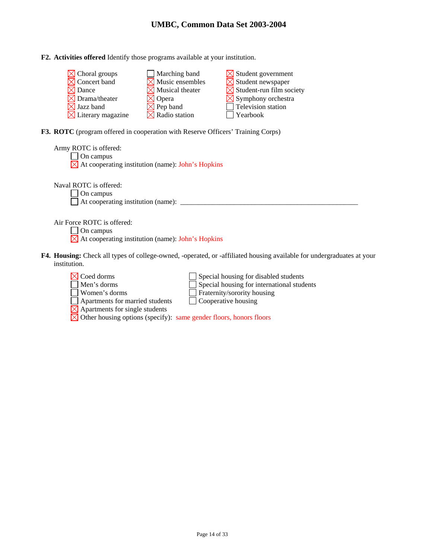**F2. Activities offered** Identify those programs available at your institution.

| $\boxtimes$ Choral groups     | Marching band               | $\boxtimes$ Student government       |
|-------------------------------|-----------------------------|--------------------------------------|
| $\boxtimes$ Concert band      | $\boxtimes$ Music ensembles | $\boxtimes$ Student newspaper        |
| $\boxtimes$ Dance             | $\times$ Musical theater    | $\boxtimes$ Student-run film society |
| $\boxtimes$ Drama/theater     | $\times$ Opera              | $\boxtimes$ Symphony orchestra       |
| $\boxtimes$ Jazz band         | $\boxtimes$ Pep band        | Television station                   |
| $\boxtimes$ Literary magazine | $\boxtimes$ Radio station   | Yearbook                             |

**F3. ROTC** (program offered in cooperation with Reserve Officers' Training Corps)

| Army ROTC is offered:<br>On campus<br>$\boxtimes$ At cooperating institution (name): John's Hopkins                                          |
|----------------------------------------------------------------------------------------------------------------------------------------------|
| Naval ROTC is offered:<br>On campus<br>At cooperating institution (name):                                                                    |
| Air Force ROTC is offered:<br>On campus<br>$\boxtimes$ At cooperating institution (name): John's Hopkins                                     |
| <b>F4. Housing:</b> Check all types of college-owned, -operated, or -affiliated housing available for undergraduates at your<br>institution. |

institution.

| $\boxtimes$ Coed dorms                                                         | Special housing for disabled students             |
|--------------------------------------------------------------------------------|---------------------------------------------------|
| $\Box$ Men's dorms                                                             | $\Box$ Special housing for international students |
| Women's dorms                                                                  | Fraternity/sorority housing                       |
| Apartments for married students                                                | $\Box$ Cooperative housing                        |
| $\boxtimes$ Apartments for single students                                     |                                                   |
| $\boxtimes$ Other housing options (specify): same gender floors, honors floors |                                                   |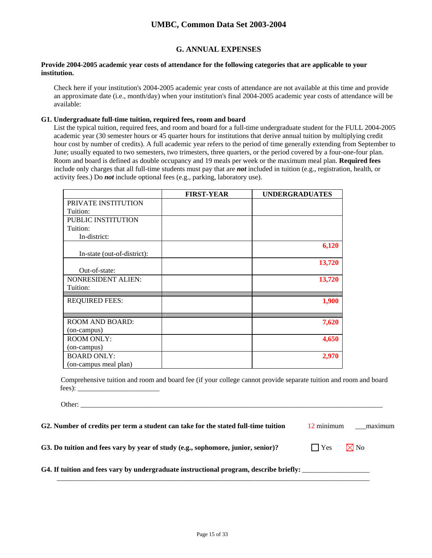## **G. ANNUAL EXPENSES**

#### **Provide 2004-2005 academic year costs of attendance for the following categories that are applicable to your institution.**

Check here if your institution's 2004-2005 academic year costs of attendance are not available at this time and provide an approximate date (i.e., month/day) when your institution's final 2004-2005 academic year costs of attendance will be available:

### **G1. Undergraduate full-time tuition, required fees, room and board**

List the typical tuition, required fees, and room and board for a full-time undergraduate student for the FULL 2004-2005 academic year (30 semester hours or 45 quarter hours for institutions that derive annual tuition by multiplying credit hour cost by number of credits). A full academic year refers to the period of time generally extending from September to June; usually equated to two semesters, two trimesters, three quarters, or the period covered by a four-one-four plan. Room and board is defined as double occupancy and 19 meals per week or the maximum meal plan. **Required fees** include only charges that all full-time students must pay that are *not* included in tuition (e.g., registration, health, or activity fees.) Do *not* include optional fees (e.g., parking, laboratory use).

|                             | <b>FIRST-YEAR</b> | <b>UNDERGRADUATES</b> |
|-----------------------------|-------------------|-----------------------|
| PRIVATE INSTITUTION         |                   |                       |
| Tuition:                    |                   |                       |
| PUBLIC INSTITUTION          |                   |                       |
| Tuition:                    |                   |                       |
| In-district:                |                   |                       |
|                             |                   | 6,120                 |
| In-state (out-of-district): |                   |                       |
|                             |                   | 13,720                |
| Out-of-state:               |                   |                       |
| <b>NONRESIDENT ALIEN:</b>   |                   | 13,720                |
| Tuition:                    |                   |                       |
| <b>REQUIRED FEES:</b>       |                   | 1,900                 |
|                             |                   |                       |
| <b>ROOM AND BOARD:</b>      |                   | 7,620                 |
| (on-campus)                 |                   |                       |
| <b>ROOM ONLY:</b>           |                   | 4,650                 |
| (on-campus)                 |                   |                       |
| <b>BOARD ONLY:</b>          |                   | 2,970                 |
| (on-campus meal plan)       |                   |                       |

Comprehensive tuition and room and board fee (if your college cannot provide separate tuition and room and board fees): \_\_\_\_\_\_\_\_\_\_\_\_\_\_\_\_\_\_\_\_\_\_\_

Other:

| G2. Number of credits per term a student can take for the stated full-time tuition       | 12 minimum          | maximum        |
|------------------------------------------------------------------------------------------|---------------------|----------------|
| G3. Do tuition and fees vary by year of study (e.g., sophomore, junior, senior)?         | $\vert \ \vert$ Yes | $\boxtimes$ No |
| G4. If tuition and fees vary by undergraduate instructional program, describe briefly: _ |                     |                |

 $\mathcal{L}_\text{max}$  , and the contribution of the contribution of the contribution of the contribution of the contribution of the contribution of the contribution of the contribution of the contribution of the contribution of t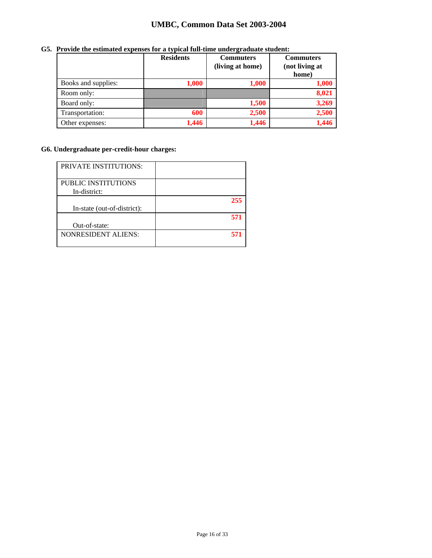|                     | <b>Residents</b> | <b>Commuters</b><br>(living at home) | <b>Commuters</b><br>(not living at<br>home) |
|---------------------|------------------|--------------------------------------|---------------------------------------------|
| Books and supplies: | 1,000            | 1,000                                | 1,000                                       |
| Room only:          |                  |                                      | 8,021                                       |
| Board only:         |                  | 1,500                                | 3,269                                       |
| Transportation:     | 600              | 2,500                                | 2,500                                       |
| Other expenses:     | 1,446            | 1,446                                | 1.446                                       |

## **G5. Provide the estimated expenses for a typical full-time undergraduate student:**

## **G6. Undergraduate per-credit-hour charges:**

| <b>PRIVATE INSTITUTIONS:</b>        |     |
|-------------------------------------|-----|
| PUBLIC INSTITUTIONS<br>In-district: |     |
| In-state (out-of-district):         | 255 |
| Out-of-state:                       | 571 |
| <b>NONRESIDENT ALIENS:</b>          | 57  |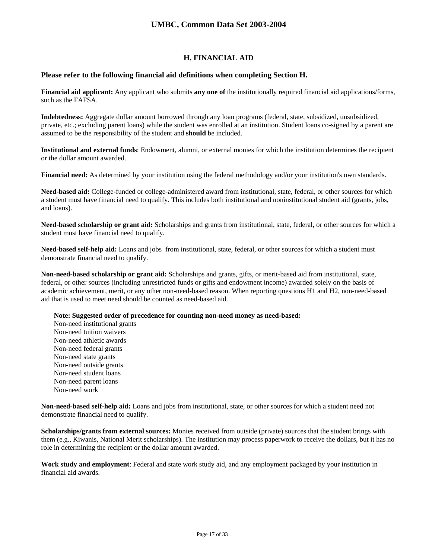## **H. FINANCIAL AID**

### **Please refer to the following financial aid definitions when completing Section H.**

**Financial aid applicant:** Any applicant who submits **any one of** the institutionally required financial aid applications/forms, such as the FAFSA.

**Indebtedness:** Aggregate dollar amount borrowed through any loan programs (federal, state, subsidized, unsubsidized, private, etc.; excluding parent loans) while the student was enrolled at an institution. Student loans co-signed by a parent are assumed to be the responsibility of the student and **should** be included.

**Institutional and external funds**: Endowment, alumni, or external monies for which the institution determines the recipient or the dollar amount awarded.

**Financial need:** As determined by your institution using the federal methodology and/or your institution's own standards.

**Need-based aid:** College-funded or college-administered award from institutional, state, federal, or other sources for which a student must have financial need to qualify. This includes both institutional and noninstitutional student aid (grants, jobs, and loans).

**Need-based scholarship or grant aid:** Scholarships and grants from institutional, state, federal, or other sources for which a student must have financial need to qualify.

**Need-based self-help aid:** Loans and jobs from institutional, state, federal, or other sources for which a student must demonstrate financial need to qualify.

**Non-need-based scholarship or grant aid:** Scholarships and grants, gifts, or merit-based aid from institutional, state, federal, or other sources (including unrestricted funds or gifts and endowment income) awarded solely on the basis of academic achievement, merit, or any other non-need-based reason. When reporting questions H1 and H2, non-need-based aid that is used to meet need should be counted as need-based aid.

**Note: Suggested order of precedence for counting non-need money as need-based:** 

Non-need institutional grants Non-need tuition waivers Non-need athletic awards Non-need federal grants Non-need state grants Non-need outside grants Non-need student loans Non-need parent loans Non-need work

**Non-need-based self-help aid:** Loans and jobs from institutional, state, or other sources for which a student need not demonstrate financial need to qualify.

**Scholarships/grants from external sources:** Monies received from outside (private) sources that the student brings with them (e.g., Kiwanis, National Merit scholarships). The institution may process paperwork to receive the dollars, but it has no role in determining the recipient or the dollar amount awarded.

**Work study and employment**: Federal and state work study aid, and any employment packaged by your institution in financial aid awards.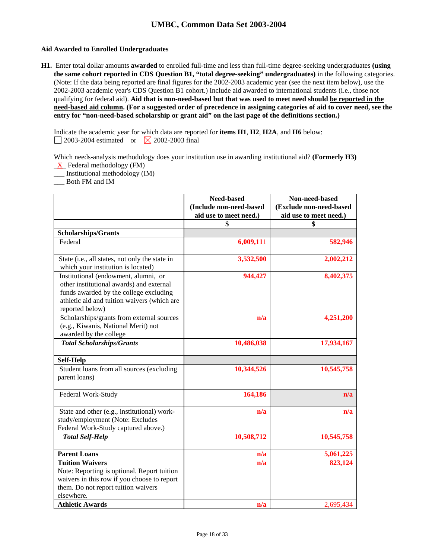### **Aid Awarded to Enrolled Undergraduates**

**H1.** Enter total dollar amounts **awarded** to enrolled full-time and less than full-time degree-seeking undergraduates **(using the same cohort reported in CDS Question B1, "total degree-seeking" undergraduates)** in the following categories. (Note: If the data being reported are final figures for the 2002-2003 academic year (see the next item below), use the 2002-2003 academic year's CDS Question B1 cohort.) Include aid awarded to international students (i.e., those not qualifying for federal aid). **Aid that is non-need-based but that was used to meet need should be reported in the need-based aid column. (For a suggested order of precedence in assigning categories of aid to cover need, see the entry for "non-need-based scholarship or grant aid" on the last page of the definitions section.)** 

Indicate the academic year for which data are reported for **items H1**, **H2**, **H2A**, and **H6** below:  $\Box$  2003-2004 estimated or  $\boxtimes$  2002-2003 final

Which needs-analysis methodology does your institution use in awarding institutional aid? **(Formerly H3)**   $X$  Federal methodology (FM)

\_\_\_ Institutional methodology (IM)

\_\_\_ Both FM and IM

|                                                                                                                                                                                              | <b>Need-based</b><br>(Include non-need-based<br>aid use to meet need.) | Non-need-based<br>(Exclude non-need-based<br>aid use to meet need.) |
|----------------------------------------------------------------------------------------------------------------------------------------------------------------------------------------------|------------------------------------------------------------------------|---------------------------------------------------------------------|
|                                                                                                                                                                                              | \$                                                                     | \$                                                                  |
| <b>Scholarships/Grants</b>                                                                                                                                                                   |                                                                        |                                                                     |
| Federal                                                                                                                                                                                      | 6,009,111                                                              | 582,946                                                             |
| State (i.e., all states, not only the state in<br>which your institution is located)                                                                                                         | 3,532,500                                                              | 2,002,212                                                           |
| Institutional (endowment, alumni, or<br>other institutional awards) and external<br>funds awarded by the college excluding<br>athletic aid and tuition waivers (which are<br>reported below) | 944,427                                                                | 8,402,375                                                           |
| Scholarships/grants from external sources<br>(e.g., Kiwanis, National Merit) not<br>awarded by the college                                                                                   | n/a                                                                    | 4,251,200                                                           |
| <b>Total Scholarships/Grants</b>                                                                                                                                                             | 10,486,038                                                             | 17,934,167                                                          |
| <b>Self-Help</b>                                                                                                                                                                             |                                                                        |                                                                     |
| Student loans from all sources (excluding<br>parent loans)                                                                                                                                   | 10,344,526                                                             | 10,545,758                                                          |
| Federal Work-Study                                                                                                                                                                           | 164,186                                                                | n/a                                                                 |
| State and other (e.g., institutional) work-<br>study/employment (Note: Excludes<br>Federal Work-Study captured above.)                                                                       | n/a                                                                    | n/a                                                                 |
| <b>Total Self-Help</b>                                                                                                                                                                       | 10,508,712                                                             | 10,545,758                                                          |
| <b>Parent Loans</b>                                                                                                                                                                          | n/a                                                                    | 5,061,225                                                           |
| <b>Tuition Waivers</b><br>Note: Reporting is optional. Report tuition<br>waivers in this row if you choose to report<br>them. Do not report tuition waivers<br>elsewhere.                    | n/a                                                                    | 823,124                                                             |
| <b>Athletic Awards</b>                                                                                                                                                                       | n/a                                                                    | 2,695,434                                                           |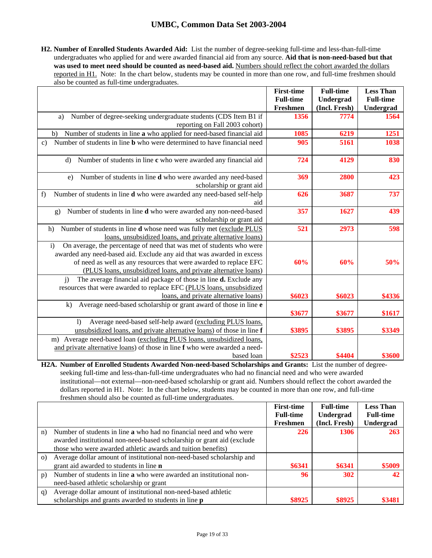**H2. Number of Enrolled Students Awarded Aid:** List the number of degree-seeking full-time and less-than-full-time undergraduates who applied for and were awarded financial aid from any source. **Aid that is non-need-based but that**  was used to meet need should be counted as need-based aid. Numbers should reflect the cohort awarded the dollars reported in H1. Note: In the chart below, students may be counted in more than one row, and full-time freshmen should also be counted as full-time undergraduates.

|                                                                                                                                                      | <b>First-time</b><br><b>Full-time</b> | <b>Full-time</b><br>Undergrad | <b>Less Than</b><br><b>Full-time</b> |
|------------------------------------------------------------------------------------------------------------------------------------------------------|---------------------------------------|-------------------------------|--------------------------------------|
|                                                                                                                                                      | Freshmen                              | (Incl. Fresh)                 | Undergrad                            |
| Number of degree-seeking undergraduate students (CDS Item B1 if<br>a)                                                                                | 1356                                  | 7774                          | 1564                                 |
| reporting on Fall 2003 cohort)                                                                                                                       |                                       |                               |                                      |
| Number of students in line a who applied for need-based financial aid<br>b)                                                                          | 1085                                  | 6219                          | 1251                                 |
| Number of students in line <b>b</b> who were determined to have financial need<br>$\mathbf{c})$                                                      | 905                                   | 5161                          | 1038                                 |
| Number of students in line c who were awarded any financial aid<br>d)                                                                                | 724                                   | 4129                          | 830                                  |
| Number of students in line d who were awarded any need-based<br>e)                                                                                   | 369                                   | 2800                          | 423                                  |
| scholarship or grant aid                                                                                                                             |                                       |                               |                                      |
| Number of students in line d who were awarded any need-based self-help<br>f)                                                                         | 626                                   | 3687                          | 737                                  |
| aid                                                                                                                                                  |                                       |                               |                                      |
| Number of students in line d who were awarded any non-need-based<br>g)                                                                               | 357                                   | 1627                          | 439                                  |
| scholarship or grant aid                                                                                                                             |                                       |                               |                                      |
| Number of students in line d whose need was fully met (exclude PLUS<br>h)                                                                            | 521                                   | 2973                          | 598                                  |
| loans, unsubsidized loans, and private alternative loans)                                                                                            |                                       |                               |                                      |
| On average, the percentage of need that was met of students who were<br>$\mathbf{i}$                                                                 |                                       |                               |                                      |
| awarded any need-based aid. Exclude any aid that was awarded in excess                                                                               |                                       |                               |                                      |
| of need as well as any resources that were awarded to replace EFC                                                                                    | 60%                                   | 60%                           | 50%                                  |
| (PLUS loans, unsubsidized loans, and private alternative loans)                                                                                      |                                       |                               |                                      |
| The average financial aid package of those in line <b>d.</b> Exclude any<br>$\overline{1}$                                                           |                                       |                               |                                      |
| resources that were awarded to replace EFC (PLUS loans, unsubsidized                                                                                 |                                       |                               |                                      |
| loans, and private alternative loans)                                                                                                                | \$6023                                | \$6023                        | \$4336                               |
| Average need-based scholarship or grant award of those in line e<br>$\bf k$ )                                                                        | \$3677                                | \$3677                        | \$1617                               |
|                                                                                                                                                      |                                       |                               |                                      |
| Average need-based self-help award (excluding PLUS loans,<br>$\overline{1}$<br>unsubsidized loans, and private alternative loans) of those in line f | \$3895                                | \$3895                        | \$3349                               |
|                                                                                                                                                      |                                       |                               |                                      |
| m) Average need-based loan (excluding PLUS loans, unsubsidized loans,<br>and private alternative loans) of those in line f who were awarded a need-  |                                       |                               |                                      |
| based loan                                                                                                                                           | \$2523                                | \$4404                        | \$3600                               |
|                                                                                                                                                      |                                       |                               |                                      |

**H2A. Number of Enrolled Students Awarded Non-need-based Scholarships and Grants:** List the number of degreeseeking full-time and less-than-full-time undergraduates who had no financial need and who were awarded institutional—not external—non-need-based scholarship or grant aid. Numbers should reflect the cohort awarded the dollars reported in H1. Note: In the chart below, students may be counted in more than one row, and full-time freshmen should also be counted as full-time undergraduates.

|          |                                                                            | <b>First-time</b> | <b>Full-time</b> | <b>Less Than</b> |
|----------|----------------------------------------------------------------------------|-------------------|------------------|------------------|
|          |                                                                            | <b>Full-time</b>  | Undergrad        | <b>Full-time</b> |
|          |                                                                            | Freshmen          | (Incl. Fresh)    | Undergrad        |
| n)       | Number of students in line <b>a</b> who had no financial need and who were | 226               | 1306             | <b>263</b>       |
|          | awarded institutional non-need-based scholarship or grant aid (exclude     |                   |                  |                  |
|          | those who were awarded athletic awards and tuition benefits)               |                   |                  |                  |
| $\Omega$ | Average dollar amount of institutional non-need-based scholarship and      |                   |                  |                  |
|          | grant aid awarded to students in line <b>n</b>                             | \$6341            | \$6341           | \$5009           |
| p)       | Number of students in line a who were awarded an institutional non-        | 96                | 302              | 42               |
|          | need-based athletic scholarship or grant                                   |                   |                  |                  |
| q)       | Average dollar amount of institutional non-need-based athletic             |                   |                  |                  |
|          | scholarships and grants awarded to students in line <b>p</b>               | \$8925            | \$8925           | \$3481           |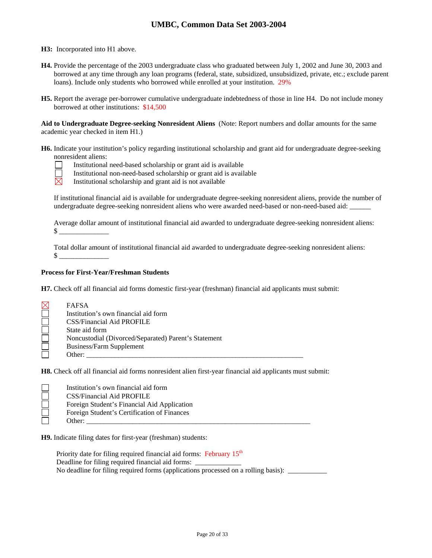**H3:** Incorporated into H1 above.

- **H4.** Provide the percentage of the 2003 undergraduate class who graduated between July 1, 2002 and June 30, 2003 and borrowed at any time through any loan programs (federal, state, subsidized, unsubsidized, private, etc.; exclude parent loans). Include only students who borrowed while enrolled at your institution. 29%
- **H5.** Report the average per-borrower cumulative undergraduate indebtedness of those in line H4. Do not include money borrowed at other institutions: \$14,500

**Aid to Undergraduate Degree-seeking Nonresident Aliens** (Note: Report numbers and dollar amounts for the same academic year checked in item H1.)

- **H6.** Indicate your institution's policy regarding institutional scholarship and grant aid for undergraduate degree-seeking nonresident aliens:
	- Institutional need-based scholarship or grant aid is available
	- Institutional non-need-based scholarship or grant aid is available
	- $\boxtimes$ Institutional scholarship and grant aid is not available

If institutional financial aid is available for undergraduate degree-seeking nonresident aliens, provide the number of undergraduate degree-seeking nonresident aliens who were awarded need-based or non-need-based aid:

Average dollar amount of institutional financial aid awarded to undergraduate degree-seeking nonresident aliens:  $\frac{\S}{}$ 

Total dollar amount of institutional financial aid awarded to undergraduate degree-seeking nonresident aliens:  $\mathbb S$ 

## **Process for First-Year/Freshman Students**

**H7.** Check off all financial aid forms domestic first-year (freshman) financial aid applicants must submit:

| $\boxtimes$ | <b>FAFSA</b>                                         |
|-------------|------------------------------------------------------|
|             | Institution's own financial aid form                 |
|             | <b>CSS/Financial Aid PROFILE</b>                     |
|             | State aid form                                       |
|             | Noncustodial (Divorced/Separated) Parent's Statement |
|             | Business/Farm Supplement                             |
|             | Other:                                               |

**H8.** Check off all financial aid forms nonresident alien first-year financial aid applicants must submit:

| Institution's own financial aid form        |
|---------------------------------------------|
| CSS/Financial Aid PROFILE                   |
| Foreign Student's Financial Aid Application |
| Foreign Student's Certification of Finances |
| Other:                                      |

**H9.** Indicate filing dates for first-year (freshman) students:

Priority date for filing required financial aid forms: February  $15<sup>th</sup>$ Deadline for filing required financial aid forms: No deadline for filing required forms (applications processed on a rolling basis): \_\_\_\_\_\_\_\_\_\_\_\_\_\_\_\_\_\_\_\_\_\_\_\_\_\_\_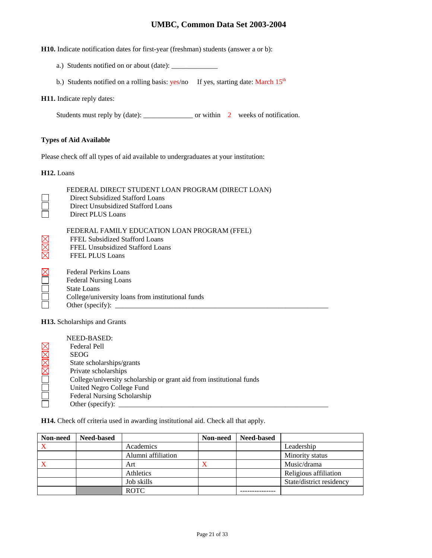**H10.** Indicate notification dates for first-year (freshman) students (answer a or b):

- a.) Students notified on or about (date): \_\_\_\_\_\_\_\_\_\_\_\_\_
- b.) Students notified on a rolling basis:  $yes/no$  If yes, starting date: March  $15<sup>th</sup>$

### **H11.** Indicate reply dates:

Students must reply by (date): \_\_\_\_\_\_\_\_\_\_\_\_\_\_ or within 2 weeks of notification.

## **Types of Aid Available**

Please check off all types of aid available to undergraduates at your institution:

**H12.** Loans

|    | FEDERAL DIRECT STUDENT LOAN PROGRAM (DIRECT LOAN)<br>Direct Subsidized Stafford Loans<br>Direct Unsubsidized Stafford Loans<br>Direct PLUS Loans     |  |  |  |  |
|----|------------------------------------------------------------------------------------------------------------------------------------------------------|--|--|--|--|
| XX | FEDERAL FAMILY EDUCATION LOAN PROGRAM (FFEL)<br>FFEL Subsidized Stafford Loans<br>FFEL Unsubsidized Stafford Loans<br><b>FFEL PLUS Loans</b>         |  |  |  |  |
|    | Federal Perkins Loans<br><b>Federal Nursing Loans</b><br>State Loans<br>College/university loans from institutional funds<br>Other (specify): $\_\_$ |  |  |  |  |
|    | <b>TTAA</b> A 1 1 1 1 1 A                                                                                                                            |  |  |  |  |

**H13.** Scholarships and Grants

| NEED-BASED:                                                          |
|----------------------------------------------------------------------|
| Federal Pell                                                         |
| <b>SEOG</b>                                                          |
| State scholarships/grants                                            |
| Private scholarships                                                 |
| College/university scholarship or grant aid from institutional funds |
| United Negro College Fund                                            |
| Federal Nursing Scholarship                                          |
| Other (specify):                                                     |

**H14.** Check off criteria used in awarding institutional aid. Check all that apply.

| Non-need | <b>Need-based</b> |                    | Non-need | <b>Need-based</b> |                          |
|----------|-------------------|--------------------|----------|-------------------|--------------------------|
|          |                   | Academics          |          |                   | Leadership               |
|          |                   | Alumni affiliation |          |                   | Minority status          |
|          |                   | Art                | X        |                   | Music/drama              |
|          |                   | Athletics          |          |                   | Religious affiliation    |
|          |                   | Job skills         |          |                   | State/district residency |
|          |                   | <b>ROTC</b>        |          |                   |                          |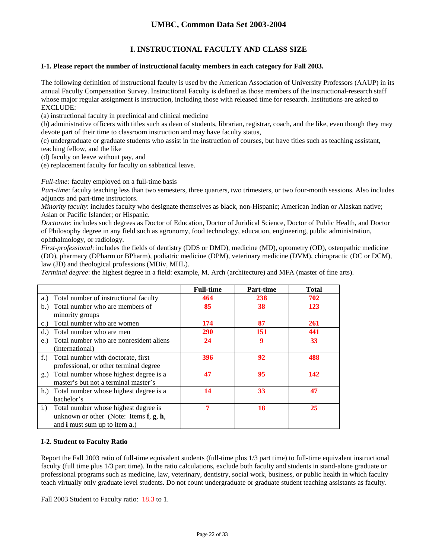## **I. INSTRUCTIONAL FACULTY AND CLASS SIZE**

## **I-1. Please report the number of instructional faculty members in each category for Fall 2003.**

The following definition of instructional faculty is used by the American Association of University Professors (AAUP) in its annual Faculty Compensation Survey. Instructional Faculty is defined as those members of the instructional-research staff whose major regular assignment is instruction, including those with released time for research. Institutions are asked to EXCLUDE:

(a) instructional faculty in preclinical and clinical medicine

(b) administrative officers with titles such as dean of students, librarian, registrar, coach, and the like, even though they may devote part of their time to classroom instruction and may have faculty status,

(c) undergraduate or graduate students who assist in the instruction of courses, but have titles such as teaching assistant, teaching fellow, and the like

(d) faculty on leave without pay, and

(e) replacement faculty for faculty on sabbatical leave.

*Full-time:* faculty employed on a full-time basis

*Part-time*: faculty teaching less than two semesters, three quarters, two trimesters, or two four-month sessions. Also includes adjuncts and part-time instructors.

*Minority faculty*: includes faculty who designate themselves as black, non-Hispanic; American Indian or Alaskan native; Asian or Pacific Islander; or Hispanic.

*Doctorate*: includes such degrees as Doctor of Education, Doctor of Juridical Science, Doctor of Public Health, and Doctor of Philosophy degree in any field such as agronomy, food technology, education, engineering, public administration, ophthalmology, or radiology.

*First-professional*: includes the fields of dentistry (DDS or DMD), medicine (MD), optometry (OD), osteopathic medicine (DO), pharmacy (DPharm or BPharm), podiatric medicine (DPM), veterinary medicine (DVM), chiropractic (DC or DCM), law (JD) and theological professions (MDiv, MHL).

*Terminal degree*: the highest degree in a field: example, M. Arch (architecture) and MFA (master of fine arts).

|                                                     | <b>Full-time</b> | <b>Part-time</b> | <b>Total</b> |
|-----------------------------------------------------|------------------|------------------|--------------|
| Total number of instructional faculty<br>a.)        | 464              | 238              | 702          |
| b.) Total number who are members of                 | 85               | 38               | 123          |
| minority groups                                     |                  |                  |              |
| Total number who are women<br>c.                    | 174              | 87               | 261          |
| Total number who are men<br>d.                      | 290              | 151              | 441          |
| Total number who are nonresident aliens<br>$e$ .    | 24               | 9                | 33           |
| (international)                                     |                  |                  |              |
| Total number with doctorate, first<br>$f_{\cdot}$ ) | 396              | 92               | 488          |
| professional, or other terminal degree              |                  |                  |              |
| Total number whose highest degree is a<br>g.)       | 47               | 95               | 142          |
| master's but not a terminal master's                |                  |                  |              |
| h.) Total number whose highest degree is a          | 14               | 33               | 47           |
| bachelor's                                          |                  |                  |              |
| Total number whose highest degree is<br>i.)         | 7                | 18               | 25           |
| unknown or other (Note: Items $f, g, h$ ,           |                  |                  |              |
| and <b>i</b> must sum up to item <b>a</b> .)        |                  |                  |              |

## **I-2. Student to Faculty Ratio**

Report the Fall 2003 ratio of full-time equivalent students (full-time plus 1/3 part time) to full-time equivalent instructional faculty (full time plus 1/3 part time). In the ratio calculations, exclude both faculty and students in stand-alone graduate or professional programs such as medicine, law, veterinary, dentistry, social work, business, or public health in which faculty teach virtually only graduate level students. Do not count undergraduate or graduate student teaching assistants as faculty.

Fall 2003 Student to Faculty ratio: 18.3 to 1.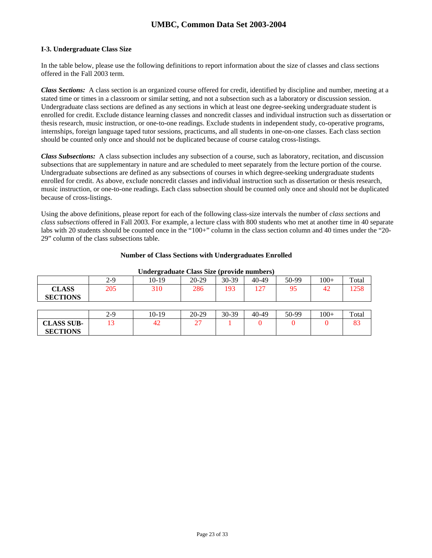### **I-3. Undergraduate Class Size**

In the table below, please use the following definitions to report information about the size of classes and class sections offered in the Fall 2003 term.

*Class Sections:* A class section is an organized course offered for credit, identified by discipline and number, meeting at a stated time or times in a classroom or similar setting, and not a subsection such as a laboratory or discussion session. Undergraduate class sections are defined as any sections in which at least one degree-seeking undergraduate student is enrolled for credit. Exclude distance learning classes and noncredit classes and individual instruction such as dissertation or thesis research, music instruction, or one-to-one readings. Exclude students in independent study, co-operative programs, internships, foreign language taped tutor sessions, practicums, and all students in one-on-one classes. Each class section should be counted only once and should not be duplicated because of course catalog cross-listings.

*Class Subsections:* A class subsection includes any subsection of a course, such as laboratory, recitation, and discussion subsections that are supplementary in nature and are scheduled to meet separately from the lecture portion of the course. Undergraduate subsections are defined as any subsections of courses in which degree-seeking undergraduate students enrolled for credit. As above, exclude noncredit classes and individual instruction such as dissertation or thesis research, music instruction, or one-to-one readings. Each class subsection should be counted only once and should not be duplicated because of cross-listings.

Using the above definitions, please report for each of the following class-size intervals the number of *class sections* and *class subsections* offered in Fall 2003. For example, a lecture class with 800 students who met at another time in 40 separate labs with 20 students should be counted once in the "100+" column in the class section column and 40 times under the "20- 29" column of the class subsections table.

### **Number of Class Sections with Undergraduates Enrolled**

| ------ <b>-</b> --- |       |         |         |       |       |       |        |       |  |
|---------------------|-------|---------|---------|-------|-------|-------|--------|-------|--|
|                     | $2-9$ | $10-19$ | 20-29   | 30-39 | 40-49 | 50-99 | $100+$ | Total |  |
| <b>CLASS</b>        | 205   | 310     | 286     | 193   | 127   | 95    | 42     | 1258  |  |
| <b>SECTIONS</b>     |       |         |         |       |       |       |        |       |  |
|                     |       |         |         |       |       |       |        |       |  |
|                     | $2-9$ | $10-19$ | $20-29$ | 30-39 | 40-49 | 50-99 | $100+$ | Total |  |
| <b>CLASS SUB-</b>   | 13    | 42      | 27      |       |       |       |        | 83    |  |
| <b>SECTIONS</b>     |       |         |         |       |       |       |        |       |  |

#### **Undergraduate Class Size (provide numbers)**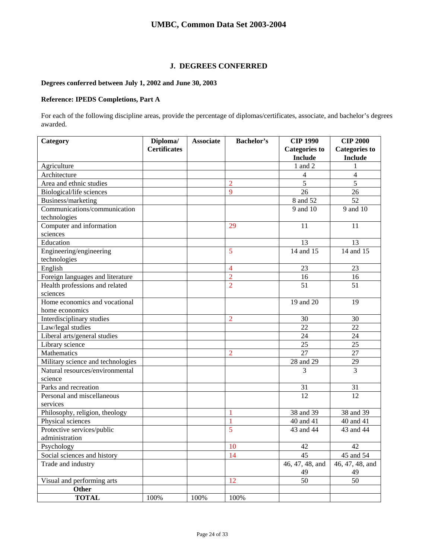## **J. DEGREES CONFERRED**

## **Degrees conferred between July 1, 2002 and June 30, 2003**

## **Reference: IPEDS Completions, Part A**

For each of the following discipline areas, provide the percentage of diplomas/certificates, associate, and bachelor's degrees awarded.

| Category                          | Diploma/            | <b>Associate</b> | <b>Bachelor's</b> | <b>CIP 1990</b>      | <b>CIP 2000</b>      |
|-----------------------------------|---------------------|------------------|-------------------|----------------------|----------------------|
|                                   | <b>Certificates</b> |                  |                   | <b>Categories to</b> | <b>Categories to</b> |
|                                   |                     |                  |                   | <b>Include</b>       | <b>Include</b>       |
| Agriculture                       |                     |                  |                   | 1 and 2              | 1                    |
| Architecture                      |                     |                  |                   | $\overline{4}$       | $\overline{4}$       |
| Area and ethnic studies           |                     |                  | $\overline{2}$    | $\overline{5}$       | $\overline{5}$       |
| Biological/life sciences          |                     |                  | $\mathbf Q$       | 26                   | 26                   |
| Business/marketing                |                     |                  |                   | 8 and 52             | 52                   |
| Communications/communication      |                     |                  |                   | 9 and 10             | 9 and 10             |
| technologies                      |                     |                  |                   |                      |                      |
| Computer and information          |                     |                  | 29                | 11                   | 11                   |
| sciences                          |                     |                  |                   |                      |                      |
| Education                         |                     |                  |                   | 13                   | 13                   |
| Engineering/engineering           |                     |                  | 5                 | 14 and 15            | 14 and 15            |
| technologies                      |                     |                  |                   |                      |                      |
| English                           |                     |                  | $\overline{4}$    | 23                   | 23                   |
| Foreign languages and literature  |                     |                  | $\overline{2}$    | 16                   | 16                   |
| Health professions and related    |                     |                  | $\overline{2}$    | 51                   | 51                   |
| sciences                          |                     |                  |                   |                      |                      |
| Home economics and vocational     |                     |                  |                   | 19 and 20            | 19                   |
| home economics                    |                     |                  |                   |                      |                      |
| Interdisciplinary studies         |                     |                  | $\overline{2}$    | 30                   | 30                   |
| Law/legal studies                 |                     |                  |                   | 22                   | 22                   |
| Liberal arts/general studies      |                     |                  |                   | 24                   | 24                   |
| Library science                   |                     |                  |                   | 25                   | 25                   |
| Mathematics                       |                     |                  | $\overline{2}$    | 27                   | 27                   |
| Military science and technologies |                     |                  |                   | 28 and 29            | 29                   |
| Natural resources/environmental   |                     |                  |                   | 3                    | $\overline{3}$       |
| science                           |                     |                  |                   |                      |                      |
| Parks and recreation              |                     |                  |                   | 31                   | 31                   |
| Personal and miscellaneous        |                     |                  |                   | 12                   | $\overline{12}$      |
| services                          |                     |                  |                   |                      |                      |
| Philosophy, religion, theology    |                     |                  | 1                 | 38 and 39            | 38 and 39            |
| Physical sciences                 |                     |                  | 1                 | 40 and 41            | 40 and 41            |
| Protective services/public        |                     |                  | 5                 | 43 and 44            | 43 and 44            |
| administration                    |                     |                  |                   |                      |                      |
| Psychology                        |                     |                  | 10                | 42                   | 42                   |
| Social sciences and history       |                     |                  | 14                | 45                   | 45 and 54            |
| Trade and industry                |                     |                  |                   | 46, 47, 48, and      | 46, 47, 48, and      |
|                                   |                     |                  |                   | 49                   | 49                   |
| Visual and performing arts        |                     |                  | 12                | 50                   | 50                   |
| Other                             |                     |                  |                   |                      |                      |
| <b>TOTAL</b>                      | 100%                | 100%             | 100%              |                      |                      |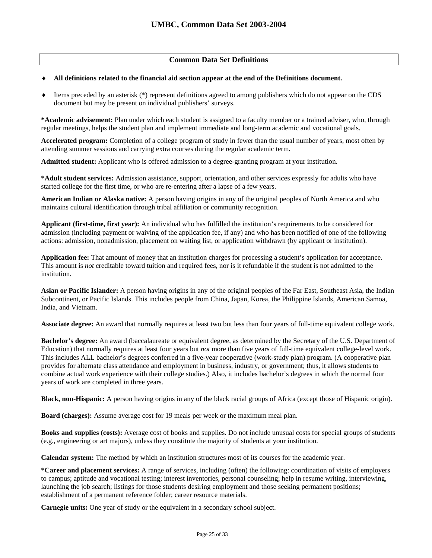## **Common Data Set Definitions**

### ♦ **All definitions related to the financial aid section appear at the end of the Definitions document.**

♦ Items preceded by an asterisk (\*) represent definitions agreed to among publishers which do not appear on the CDS document but may be present on individual publishers' surveys.

**\*Academic advisement:** Plan under which each student is assigned to a faculty member or a trained adviser, who, through regular meetings, helps the student plan and implement immediate and long-term academic and vocational goals.

**Accelerated program:** Completion of a college program of study in fewer than the usual number of years, most often by attending summer sessions and carrying extra courses during the regular academic term**.** 

**Admitted student:** Applicant who is offered admission to a degree-granting program at your institution.

**\*Adult student services:** Admission assistance, support, orientation, and other services expressly for adults who have started college for the first time, or who are re-entering after a lapse of a few years.

**American Indian or Alaska native:** A person having origins in any of the original peoples of North America and who maintains cultural identification through tribal affiliation or community recognition.

**Applicant (first-time, first year):** An individual who has fulfilled the institution's requirements to be considered for admission (including payment or waiving of the application fee, if any) and who has been notified of one of the following actions: admission, nonadmission, placement on waiting list, or application withdrawn (by applicant or institution).

**Application fee:** That amount of money that an institution charges for processing a student's application for acceptance. This amount is *not* creditable toward tuition and required fees, nor is it refundable if the student is not admitted to the institution.

**Asian or Pacific Islander:** A person having origins in any of the original peoples of the Far East, Southeast Asia, the Indian Subcontinent, or Pacific Islands. This includes people from China, Japan, Korea, the Philippine Islands, American Samoa, India, and Vietnam.

**Associate degree:** An award that normally requires at least two but less than four years of full-time equivalent college work.

**Bachelor's degree:** An award (baccalaureate or equivalent degree, as determined by the Secretary of the U.S. Department of Education) that normally requires at least four years but *not* more than five years of full-time equivalent college-level work. This includes ALL bachelor's degrees conferred in a five-year cooperative (work-study plan) program. (A cooperative plan provides for alternate class attendance and employment in business, industry, or government; thus, it allows students to combine actual work experience with their college studies.) Also, it includes bachelor's degrees in which the normal four years of work are completed in three years.

**Black, non-Hispanic:** A person having origins in any of the black racial groups of Africa (except those of Hispanic origin).

**Board (charges):** Assume average cost for 19 meals per week or the maximum meal plan.

**Books and supplies (costs):** Average cost of books and supplies. Do not include unusual costs for special groups of students (e.g., engineering or art majors), unless they constitute the majority of students at your institution.

**Calendar system:** The method by which an institution structures most of its courses for the academic year.

**\*Career and placement services:** A range of services, including (often) the following: coordination of visits of employers to campus; aptitude and vocational testing; interest inventories, personal counseling; help in resume writing, interviewing, launching the job search; listings for those students desiring employment and those seeking permanent positions; establishment of a permanent reference folder; career resource materials.

**Carnegie units:** One year of study or the equivalent in a secondary school subject.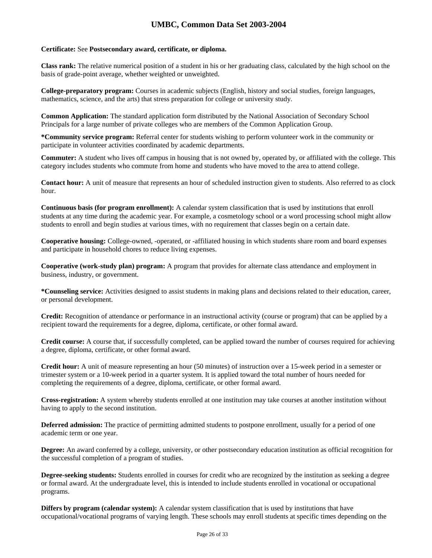### **Certificate:** See **Postsecondary award, certificate, or diploma.**

**Class rank:** The relative numerical position of a student in his or her graduating class, calculated by the high school on the basis of grade-point average, whether weighted or unweighted.

**College-preparatory program:** Courses in academic subjects (English, history and social studies, foreign languages, mathematics, science, and the arts) that stress preparation for college or university study.

**Common Application:** The standard application form distributed by the National Association of Secondary School Principals for a large number of private colleges who are members of the Common Application Group.

**\*Community service program:** Referral center for students wishing to perform volunteer work in the community or participate in volunteer activities coordinated by academic departments.

**Commuter:** A student who lives off campus in housing that is not owned by, operated by, or affiliated with the college. This category includes students who commute from home and students who have moved to the area to attend college.

**Contact hour:** A unit of measure that represents an hour of scheduled instruction given to students. Also referred to as clock hour.

**Continuous basis (for program enrollment):** A calendar system classification that is used by institutions that enroll students at any time during the academic year. For example, a cosmetology school or a word processing school might allow students to enroll and begin studies at various times, with no requirement that classes begin on a certain date.

**Cooperative housing:** College-owned, -operated, or -affiliated housing in which students share room and board expenses and participate in household chores to reduce living expenses.

**Cooperative (work-study plan) program:** A program that provides for alternate class attendance and employment in business, industry, or government.

**\*Counseling service:** Activities designed to assist students in making plans and decisions related to their education, career, or personal development.

**Credit:** Recognition of attendance or performance in an instructional activity (course or program) that can be applied by a recipient toward the requirements for a degree, diploma, certificate, or other formal award.

**Credit course:** A course that, if successfully completed, can be applied toward the number of courses required for achieving a degree, diploma, certificate, or other formal award.

**Credit hour:** A unit of measure representing an hour (50 minutes) of instruction over a 15-week period in a semester or trimester system or a 10-week period in a quarter system. It is applied toward the total number of hours needed for completing the requirements of a degree, diploma, certificate, or other formal award.

**Cross-registration:** A system whereby students enrolled at one institution may take courses at another institution without having to apply to the second institution.

**Deferred admission:** The practice of permitting admitted students to postpone enrollment, usually for a period of one academic term or one year.

**Degree:** An award conferred by a college, university, or other postsecondary education institution as official recognition for the successful completion of a program of studies.

**Degree-seeking students:** Students enrolled in courses for credit who are recognized by the institution as seeking a degree or formal award. At the undergraduate level, this is intended to include students enrolled in vocational or occupational programs.

**Differs by program (calendar system):** A calendar system classification that is used by institutions that have occupational/vocational programs of varying length. These schools may enroll students at specific times depending on the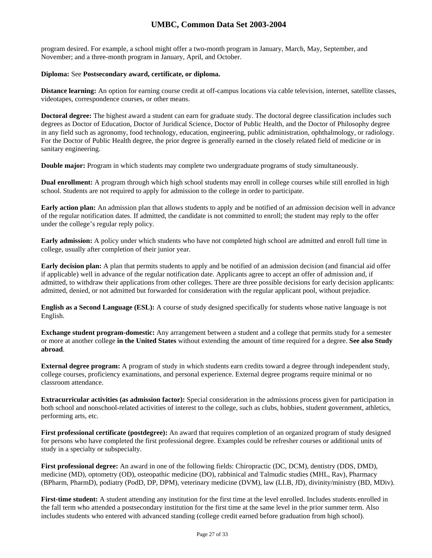program desired. For example, a school might offer a two-month program in January, March, May, September, and November; and a three-month program in January, April, and October.

### **Diploma:** See **Postsecondary award, certificate, or diploma.**

**Distance learning:** An option for earning course credit at off-campus locations via cable television, internet, satellite classes, videotapes, correspondence courses, or other means.

**Doctoral degree:** The highest award a student can earn for graduate study. The doctoral degree classification includes such degrees as Doctor of Education, Doctor of Juridical Science, Doctor of Public Health, and the Doctor of Philosophy degree in any field such as agronomy, food technology, education, engineering, public administration, ophthalmology, or radiology. For the Doctor of Public Health degree, the prior degree is generally earned in the closely related field of medicine or in sanitary engineering.

**Double major:** Program in which students may complete two undergraduate programs of study simultaneously.

**Dual enrollment:** A program through which high school students may enroll in college courses while still enrolled in high school. Students are not required to apply for admission to the college in order to participate.

**Early action plan:** An admission plan that allows students to apply and be notified of an admission decision well in advance of the regular notification dates. If admitted, the candidate is not committed to enroll; the student may reply to the offer under the college's regular reply policy.

**Early admission:** A policy under which students who have not completed high school are admitted and enroll full time in college, usually after completion of their junior year.

**Early decision plan:** A plan that permits students to apply and be notified of an admission decision (and financial aid offer if applicable) well in advance of the regular notification date. Applicants agree to accept an offer of admission and, if admitted, to withdraw their applications from other colleges. There are three possible decisions for early decision applicants: admitted, denied, or not admitted but forwarded for consideration with the regular applicant pool, without prejudice.

**English as a Second Language (ESL):** A course of study designed specifically for students whose native language is not English.

**Exchange student program-domestic:** Any arrangement between a student and a college that permits study for a semester or more at another college **in the United States** without extending the amount of time required for a degree. **See also Study abroad**.

**External degree program:** A program of study in which students earn credits toward a degree through independent study, college courses, proficiency examinations, and personal experience. External degree programs require minimal or no classroom attendance.

**Extracurricular activities (as admission factor):** Special consideration in the admissions process given for participation in both school and nonschool-related activities of interest to the college, such as clubs, hobbies, student government, athletics, performing arts, etc.

**First professional certificate (postdegree):** An award that requires completion of an organized program of study designed for persons who have completed the first professional degree. Examples could be refresher courses or additional units of study in a specialty or subspecialty.

**First professional degree:** An award in one of the following fields: Chiropractic (DC, DCM), dentistry (DDS, DMD), medicine (MD), optometry (OD), osteopathic medicine (DO), rabbinical and Talmudic studies (MHL, Rav), Pharmacy (BPharm, PharmD), podiatry (PodD, DP, DPM), veterinary medicine (DVM), law (LLB, JD), divinity/ministry (BD, MDiv).

**First-time student:** A student attending any institution for the first time at the level enrolled. Includes students enrolled in the fall term who attended a postsecondary institution for the first time at the same level in the prior summer term. Also includes students who entered with advanced standing (college credit earned before graduation from high school).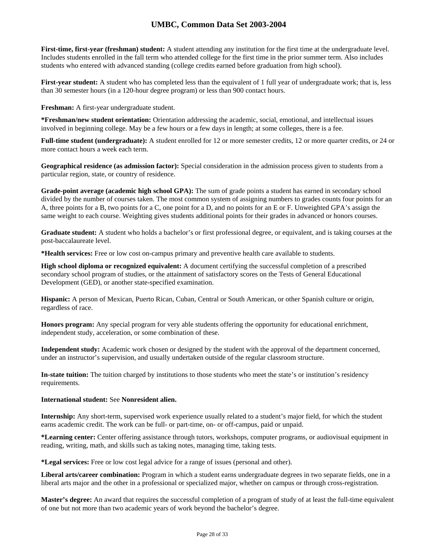**First-time, first-year (freshman) student:** A student attending any institution for the first time at the undergraduate level. Includes students enrolled in the fall term who attended college for the first time in the prior summer term. Also includes students who entered with advanced standing (college credits earned before graduation from high school).

**First-year student:** A student who has completed less than the equivalent of 1 full year of undergraduate work; that is, less than 30 semester hours (in a 120-hour degree program) or less than 900 contact hours.

**Freshman:** A first-year undergraduate student.

**\*Freshman/new student orientation:** Orientation addressing the academic, social, emotional, and intellectual issues involved in beginning college. May be a few hours or a few days in length; at some colleges, there is a fee.

**Full-time student (undergraduate):** A student enrolled for 12 or more semester credits, 12 or more quarter credits, or 24 or more contact hours a week each term.

**Geographical residence (as admission factor):** Special consideration in the admission process given to students from a particular region, state, or country of residence.

**Grade-point average (academic high school GPA):** The sum of grade points a student has earned in secondary school divided by the number of courses taken. The most common system of assigning numbers to grades counts four points for an A, three points for a B, two points for a C, one point for a D, and no points for an E or F. Unweighted GPA's assign the same weight to each course. Weighting gives students additional points for their grades in advanced or honors courses.

**Graduate student:** A student who holds a bachelor's or first professional degree, or equivalent, and is taking courses at the post-baccalaureate level.

**\*Health services:** Free or low cost on-campus primary and preventive health care available to students.

**High school diploma or recognized equivalent:** A document certifying the successful completion of a prescribed secondary school program of studies, or the attainment of satisfactory scores on the Tests of General Educational Development (GED), or another state-specified examination.

**Hispanic:** A person of Mexican, Puerto Rican, Cuban, Central or South American, or other Spanish culture or origin, regardless of race.

**Honors program:** Any special program for very able students offering the opportunity for educational enrichment, independent study, acceleration, or some combination of these.

**Independent study:** Academic work chosen or designed by the student with the approval of the department concerned, under an instructor's supervision, and usually undertaken outside of the regular classroom structure.

**In-state tuition:** The tuition charged by institutions to those students who meet the state's or institution's residency requirements.

#### **International student:** See **Nonresident alien.**

**Internship:** Any short-term, supervised work experience usually related to a student's major field, for which the student earns academic credit. The work can be full- or part-time, on- or off-campus, paid or unpaid.

**\*Learning center:** Center offering assistance through tutors, workshops, computer programs, or audiovisual equipment in reading, writing, math, and skills such as taking notes, managing time, taking tests.

**\*Legal services:** Free or low cost legal advice for a range of issues (personal and other).

**Liberal arts/career combination:** Program in which a student earns undergraduate degrees in two separate fields, one in a liberal arts major and the other in a professional or specialized major, whether on campus or through cross-registration.

**Master's degree:** An award that requires the successful completion of a program of study of at least the full-time equivalent of one but not more than two academic years of work beyond the bachelor's degree.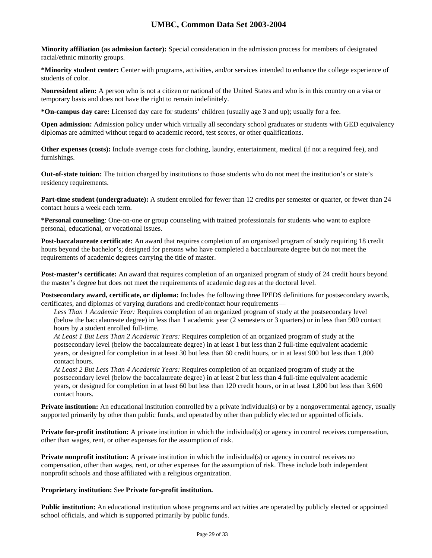**Minority affiliation (as admission factor):** Special consideration in the admission process for members of designated racial/ethnic minority groups.

**\*Minority student center:** Center with programs, activities, and/or services intended to enhance the college experience of students of color.

**Nonresident alien:** A person who is not a citizen or national of the United States and who is in this country on a visa or temporary basis and does not have the right to remain indefinitely.

**\*On-campus day care:** Licensed day care for students' children (usually age 3 and up); usually for a fee.

**Open admission:** Admission policy under which virtually all secondary school graduates or students with GED equivalency diplomas are admitted without regard to academic record, test scores, or other qualifications.

**Other expenses (costs):** Include average costs for clothing, laundry, entertainment, medical (if not a required fee), and furnishings.

**Out-of-state tuition:** The tuition charged by institutions to those students who do not meet the institution's or state's residency requirements.

**Part-time student (undergraduate):** A student enrolled for fewer than 12 credits per semester or quarter, or fewer than 24 contact hours a week each term.

**\*Personal counseling**: One-on-one or group counseling with trained professionals for students who want to explore personal, educational, or vocational issues.

**Post-baccalaureate certificate:** An award that requires completion of an organized program of study requiring 18 credit hours beyond the bachelor's; designed for persons who have completed a baccalaureate degree but do not meet the requirements of academic degrees carrying the title of master.

**Post-master's certificate:** An award that requires completion of an organized program of study of 24 credit hours beyond the master's degree but does not meet the requirements of academic degrees at the doctoral level.

**Postsecondary award, certificate, or diploma:** Includes the following three IPEDS definitions for postsecondary awards, certificates, and diplomas of varying durations and credit/contact hour requirements—

*Less Than 1 Academic Year:* Requires completion of an organized program of study at the postsecondary level (below the baccalaureate degree) in less than 1 academic year (2 semesters or 3 quarters) or in less than 900 contact hours by a student enrolled full-time.

*At Least 1 But Less Than 2 Academic Years:* Requires completion of an organized program of study at the postsecondary level (below the baccalaureate degree) in at least 1 but less than 2 full-time equivalent academic years, or designed for completion in at least 30 but less than 60 credit hours, or in at least 900 but less than 1,800 contact hours.

*At Least 2 But Less Than 4 Academic Years:* Requires completion of an organized program of study at the postsecondary level (below the baccalaureate degree) in at least 2 but less than 4 full-time equivalent academic years, or designed for completion in at least 60 but less than 120 credit hours, or in at least 1,800 but less than 3,600 contact hours.

**Private institution:** An educational institution controlled by a private individual(s) or by a nongovernmental agency, usually supported primarily by other than public funds, and operated by other than publicly elected or appointed officials.

**Private for-profit institution:** A private institution in which the individual(s) or agency in control receives compensation, other than wages, rent, or other expenses for the assumption of risk.

**Private nonprofit institution:** A private institution in which the individual(s) or agency in control receives no compensation, other than wages, rent, or other expenses for the assumption of risk. These include both independent nonprofit schools and those affiliated with a religious organization.

## **Proprietary institution:** See **Private for-profit institution.**

**Public institution:** An educational institution whose programs and activities are operated by publicly elected or appointed school officials, and which is supported primarily by public funds.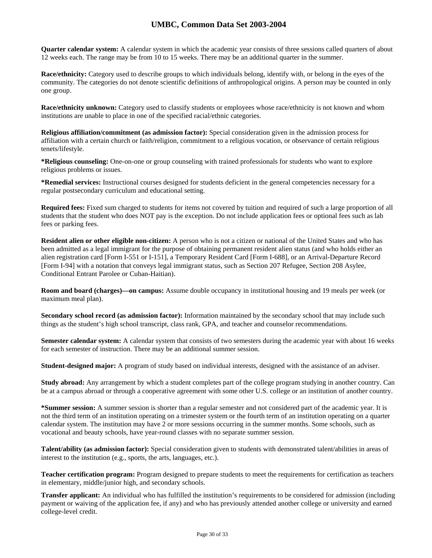**Quarter calendar system:** A calendar system in which the academic year consists of three sessions called quarters of about 12 weeks each. The range may be from 10 to 15 weeks. There may be an additional quarter in the summer.

**Race/ethnicity:** Category used to describe groups to which individuals belong, identify with, or belong in the eyes of the community. The categories do not denote scientific definitions of anthropological origins. A person may be counted in only one group.

**Race/ethnicity unknown:** Category used to classify students or employees whose race/ethnicity is not known and whom institutions are unable to place in one of the specified racial/ethnic categories.

**Religious affiliation/commitment (as admission factor):** Special consideration given in the admission process for affiliation with a certain church or faith/religion, commitment to a religious vocation, or observance of certain religious tenets/lifestyle.

**\*Religious counseling:** One-on-one or group counseling with trained professionals for students who want to explore religious problems or issues.

**\*Remedial services:** Instructional courses designed for students deficient in the general competencies necessary for a regular postsecondary curriculum and educational setting.

**Required fees:** Fixed sum charged to students for items not covered by tuition and required of such a large proportion of all students that the student who does NOT pay is the exception. Do not include application fees or optional fees such as lab fees or parking fees.

**Resident alien or other eligible non-citizen:** A person who is not a citizen or national of the United States and who has been admitted as a legal immigrant for the purpose of obtaining permanent resident alien status (and who holds either an alien registration card [Form I-551 or I-151], a Temporary Resident Card [Form I-688], or an Arrival-Departure Record [Form I-94] with a notation that conveys legal immigrant status, such as Section 207 Refugee, Section 208 Asylee, Conditional Entrant Parolee or Cuban-Haitian).

**Room and board (charges)—on campus:** Assume double occupancy in institutional housing and 19 meals per week (or maximum meal plan).

**Secondary school record (as admission factor):** Information maintained by the secondary school that may include such things as the student's high school transcript, class rank, GPA, and teacher and counselor recommendations.

**Semester calendar system:** A calendar system that consists of two semesters during the academic year with about 16 weeks for each semester of instruction. There may be an additional summer session.

**Student-designed major:** A program of study based on individual interests, designed with the assistance of an adviser.

**Study abroad:** Any arrangement by which a student completes part of the college program studying in another country. Can be at a campus abroad or through a cooperative agreement with some other U.S. college or an institution of another country.

**\*Summer session:** A summer session is shorter than a regular semester and not considered part of the academic year. It is not the third term of an institution operating on a trimester system or the fourth term of an institution operating on a quarter calendar system. The institution may have 2 or more sessions occurring in the summer months. Some schools, such as vocational and beauty schools, have year-round classes with no separate summer session.

**Talent/ability (as admission factor):** Special consideration given to students with demonstrated talent/abilities in areas of interest to the institution (e.g., sports, the arts, languages, etc.).

**Teacher certification program:** Program designed to prepare students to meet the requirements for certification as teachers in elementary, middle/junior high, and secondary schools.

**Transfer applicant:** An individual who has fulfilled the institution's requirements to be considered for admission (including payment or waiving of the application fee, if any) and who has previously attended another college or university and earned college-level credit.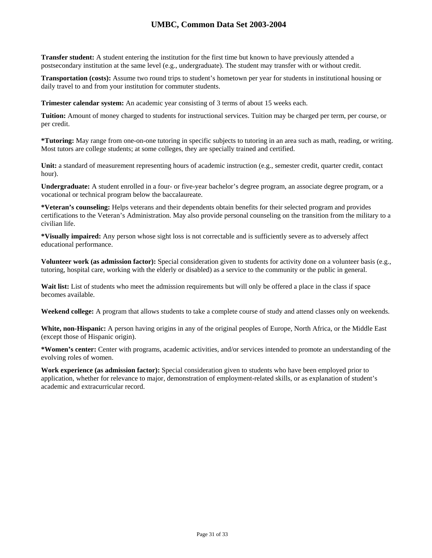**Transfer student:** A student entering the institution for the first time but known to have previously attended a postsecondary institution at the same level (e.g., undergraduate). The student may transfer with or without credit.

**Transportation (costs):** Assume two round trips to student's hometown per year for students in institutional housing or daily travel to and from your institution for commuter students.

**Trimester calendar system:** An academic year consisting of 3 terms of about 15 weeks each.

**Tuition:** Amount of money charged to students for instructional services. Tuition may be charged per term, per course, or per credit.

**\*Tutoring:** May range from one-on-one tutoring in specific subjects to tutoring in an area such as math, reading, or writing. Most tutors are college students; at some colleges, they are specially trained and certified.

Unit: a standard of measurement representing hours of academic instruction (e.g., semester credit, quarter credit, contact hour).

**Undergraduate:** A student enrolled in a four- or five-year bachelor's degree program, an associate degree program, or a vocational or technical program below the baccalaureate.

**\*Veteran's counseling:** Helps veterans and their dependents obtain benefits for their selected program and provides certifications to the Veteran's Administration. May also provide personal counseling on the transition from the military to a civilian life.

**\*Visually impaired:** Any person whose sight loss is not correctable and is sufficiently severe as to adversely affect educational performance.

**Volunteer work (as admission factor):** Special consideration given to students for activity done on a volunteer basis (e.g., tutoring, hospital care, working with the elderly or disabled) as a service to the community or the public in general.

Wait list: List of students who meet the admission requirements but will only be offered a place in the class if space becomes available.

**Weekend college:** A program that allows students to take a complete course of study and attend classes only on weekends.

**White, non-Hispanic:** A person having origins in any of the original peoples of Europe, North Africa, or the Middle East (except those of Hispanic origin).

**\*Women's center:** Center with programs, academic activities, and/or services intended to promote an understanding of the evolving roles of women.

**Work experience (as admission factor):** Special consideration given to students who have been employed prior to application, whether for relevance to major, demonstration of employment-related skills, or as explanation of student's academic and extracurricular record.